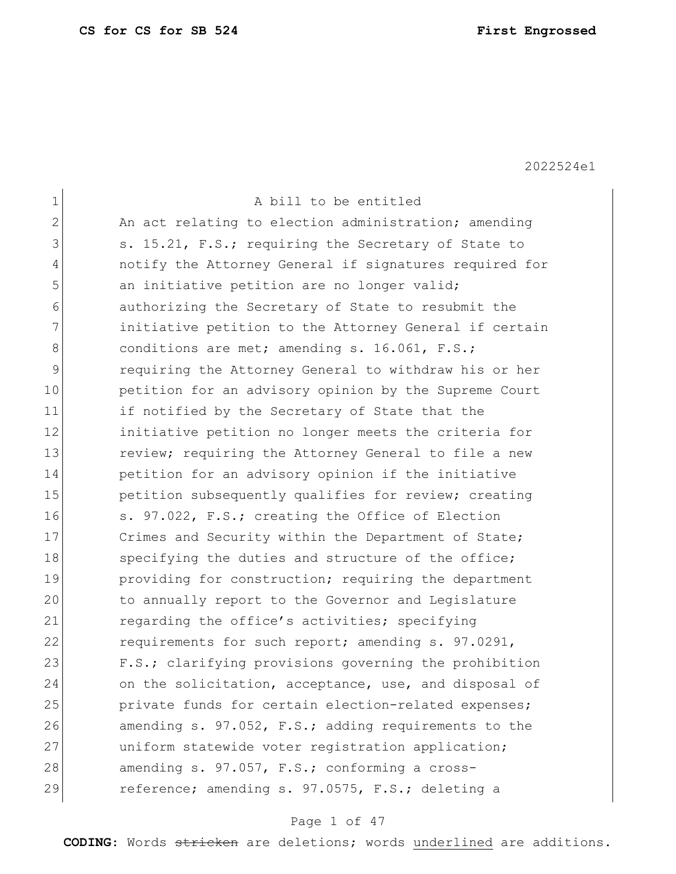| $\mathbf 1$    | A bill to be entitled                                  |
|----------------|--------------------------------------------------------|
| $\overline{2}$ | An act relating to election administration; amending   |
| 3              | s. 15.21, F.S.; requiring the Secretary of State to    |
| 4              | notify the Attorney General if signatures required for |
| 5              | an initiative petition are no longer valid;            |
| 6              | authorizing the Secretary of State to resubmit the     |
| 7              | initiative petition to the Attorney General if certain |
| 8              | conditions are met; amending s. 16.061, F.S.;          |
| $\mathcal{G}$  | requiring the Attorney General to withdraw his or her  |
| 10             | petition for an advisory opinion by the Supreme Court  |
| 11             | if notified by the Secretary of State that the         |
| 12             | initiative petition no longer meets the criteria for   |
| 13             | review; requiring the Attorney General to file a new   |
| 14             | petition for an advisory opinion if the initiative     |
| 15             | petition subsequently qualifies for review; creating   |
| 16             | s. 97.022, F.S.; creating the Office of Election       |
| 17             | Crimes and Security within the Department of State;    |
| 18             | specifying the duties and structure of the office;     |
| 19             | providing for construction; requiring the department   |
| 20             | to annually report to the Governor and Legislature     |
| 21             | regarding the office's activities; specifying          |
| 22             | requirements for such report; amending s. 97.0291,     |
| 23             | F.S.; clarifying provisions governing the prohibition  |
| 24             | on the solicitation, acceptance, use, and disposal of  |
| 25             | private funds for certain election-related expenses;   |
| 26             | amending s. 97.052, F.S.; adding requirements to the   |
| 27             | uniform statewide voter registration application;      |
| 28             | amending s. 97.057, F.S.; conforming a cross-          |
| 29             | reference; amending s. 97.0575, F.S.; deleting a       |
|                |                                                        |

## Page 1 of 47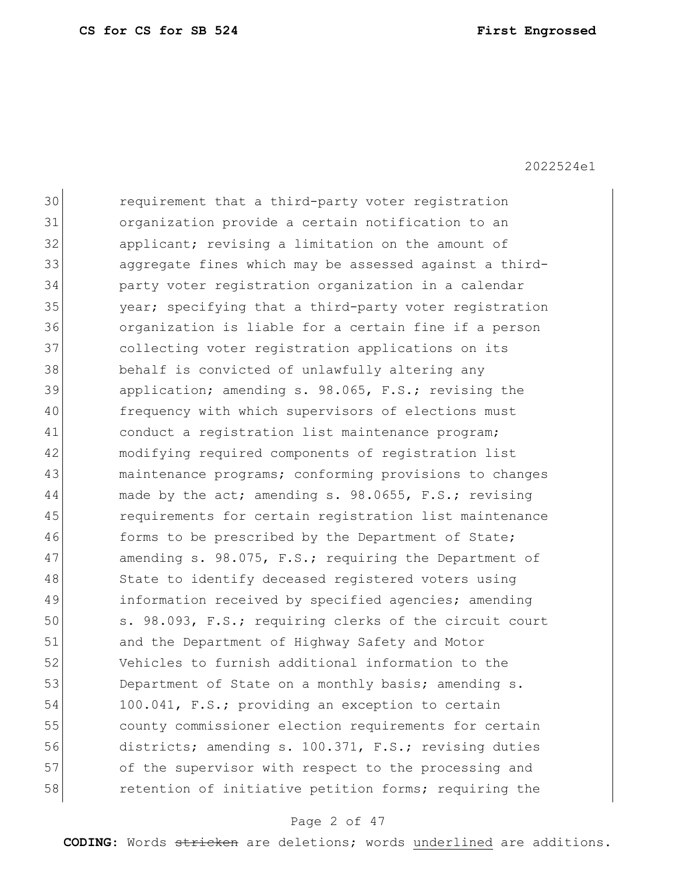30 requirement that a third-party voter registration 31 organization provide a certain notification to an 32 applicant; revising a limitation on the amount of 33 aggregate fines which may be assessed against a third-34 party voter registration organization in a calendar 35 year; specifying that a third-party voter registration 36 organization is liable for a certain fine if a person 37 collecting voter registration applications on its 38 behalf is convicted of unlawfully altering any 39 application; amending s. 98.065, F.S.; revising the 40 frequency with which supervisors of elections must 41 conduct a registration list maintenance program; 42 modifying required components of registration list 43 and maintenance programs; conforming provisions to changes 44 ande by the act; amending s. 98.0655, F.S.; revising 45 requirements for certain registration list maintenance 46 forms to be prescribed by the Department of State; 47 amending s. 98.075, F.S.; requiring the Department of 48 State to identify deceased registered voters using 49 information received by specified agencies; amending 50 s. 98.093, F.S.; requiring clerks of the circuit court 51 and the Department of Highway Safety and Motor 52 Vehicles to furnish additional information to the 53 Department of State on a monthly basis; amending s. 54 100.041, F.S.; providing an exception to certain 55 county commissioner election requirements for certain 56 districts; amending s. 100.371, F.S.; revising duties 57 of the supervisor with respect to the processing and 58 retention of initiative petition forms; requiring the

#### Page 2 of 47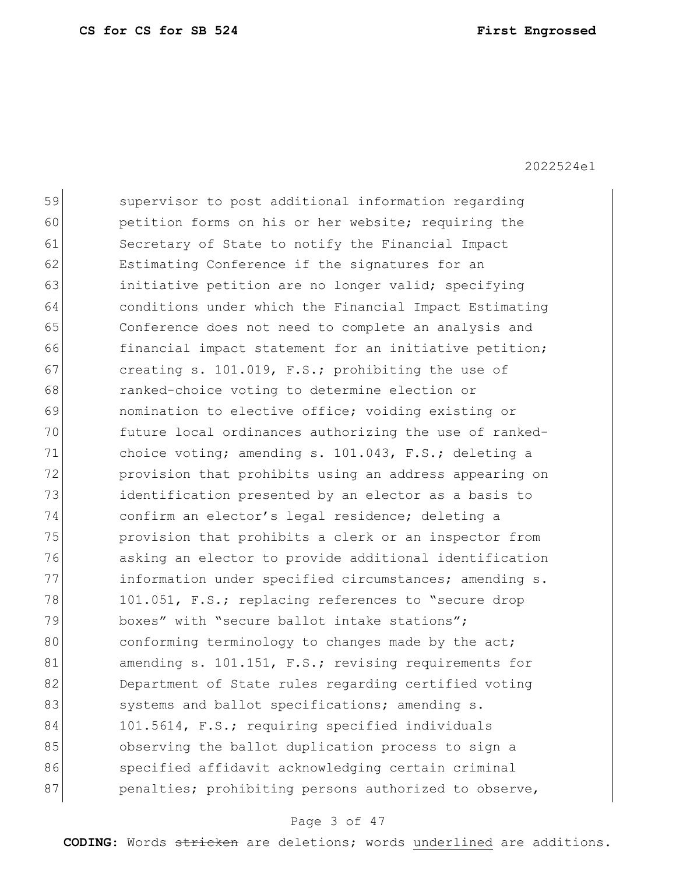| 59 | supervisor to post additional information regarding    |
|----|--------------------------------------------------------|
| 60 | petition forms on his or her website; requiring the    |
| 61 | Secretary of State to notify the Financial Impact      |
| 62 | Estimating Conference if the signatures for an         |
| 63 | initiative petition are no longer valid; specifying    |
| 64 | conditions under which the Financial Impact Estimating |
| 65 | Conference does not need to complete an analysis and   |
| 66 | financial impact statement for an initiative petition; |
| 67 | creating s. 101.019, F.S.; prohibiting the use of      |
| 68 | ranked-choice voting to determine election or          |
| 69 | nomination to elective office; voiding existing or     |
| 70 | future local ordinances authorizing the use of ranked- |
| 71 | choice voting; amending s. 101.043, F.S.; deleting a   |
| 72 | provision that prohibits using an address appearing on |
| 73 | identification presented by an elector as a basis to   |
| 74 | confirm an elector's legal residence; deleting a       |
| 75 | provision that prohibits a clerk or an inspector from  |
| 76 | asking an elector to provide additional identification |
| 77 | information under specified circumstances; amending s. |
| 78 | 101.051, F.S.; replacing references to "secure drop    |
| 79 | boxes" with "secure ballot intake stations";           |
| 80 | conforming terminology to changes made by the act;     |
| 81 | amending s. 101.151, F.S.; revising requirements for   |
| 82 | Department of State rules regarding certified voting   |
| 83 | systems and ballot specifications; amending s.         |
| 84 | 101.5614, F.S.; requiring specified individuals        |
| 85 | observing the ballot duplication process to sign a     |
| 86 | specified affidavit acknowledging certain criminal     |
| 87 | penalties; prohibiting persons authorized to observe,  |
|    |                                                        |

## Page 3 of 47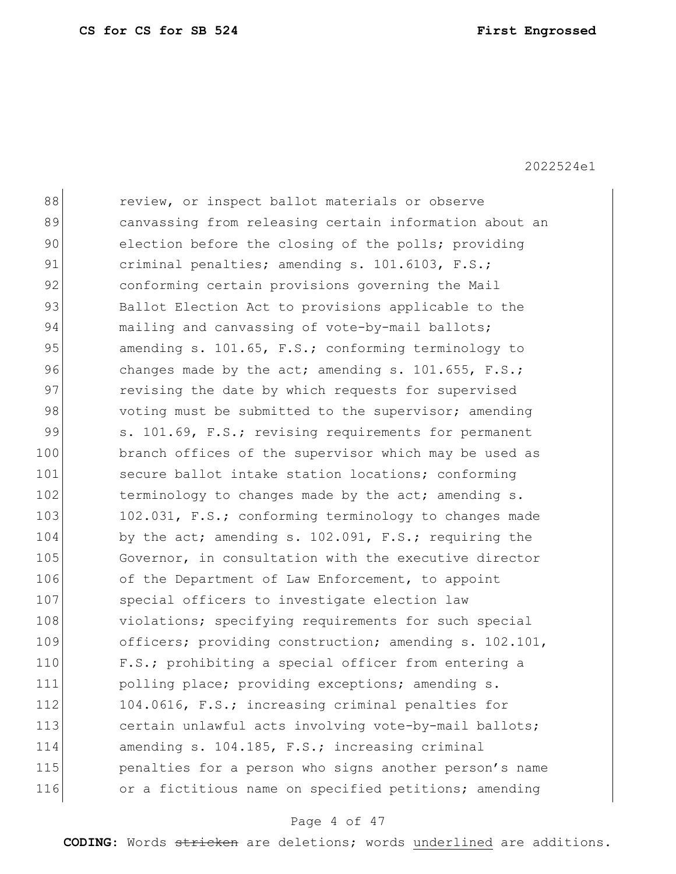| 88  | review, or inspect ballot materials or observe         |
|-----|--------------------------------------------------------|
| 89  | canvassing from releasing certain information about an |
| 90  | election before the closing of the polls; providing    |
| 91  | criminal penalties; amending s. 101.6103, F.S.;        |
| 92  | conforming certain provisions governing the Mail       |
| 93  | Ballot Election Act to provisions applicable to the    |
| 94  | mailing and canvassing of vote-by-mail ballots;        |
| 95  | amending s. 101.65, F.S.; conforming terminology to    |
| 96  | changes made by the act; amending s. 101.655, F.S.;    |
| 97  | revising the date by which requests for supervised     |
| 98  | voting must be submitted to the supervisor; amending   |
| 99  | s. 101.69, F.S.; revising requirements for permanent   |
| 100 | branch offices of the supervisor which may be used as  |
| 101 | secure ballot intake station locations; conforming     |
| 102 | terminology to changes made by the act; amending s.    |
| 103 | 102.031, F.S.; conforming terminology to changes made  |
| 104 | by the act; amending s. 102.091, F.S.; requiring the   |
| 105 | Governor, in consultation with the executive director  |
| 106 | of the Department of Law Enforcement, to appoint       |
| 107 | special officers to investigate election law           |
| 108 | violations; specifying requirements for such special   |
| 109 | officers; providing construction; amending s. 102.101, |
| 110 | F.S.; prohibiting a special officer from entering a    |
| 111 | polling place; providing exceptions; amending s.       |
| 112 | 104.0616, F.S.; increasing criminal penalties for      |
| 113 | certain unlawful acts involving vote-by-mail ballots;  |
| 114 | amending s. 104.185, F.S.; increasing criminal         |
| 115 | penalties for a person who signs another person's name |
| 116 | or a fictitious name on specified petitions; amending  |
|     |                                                        |

## Page 4 of 47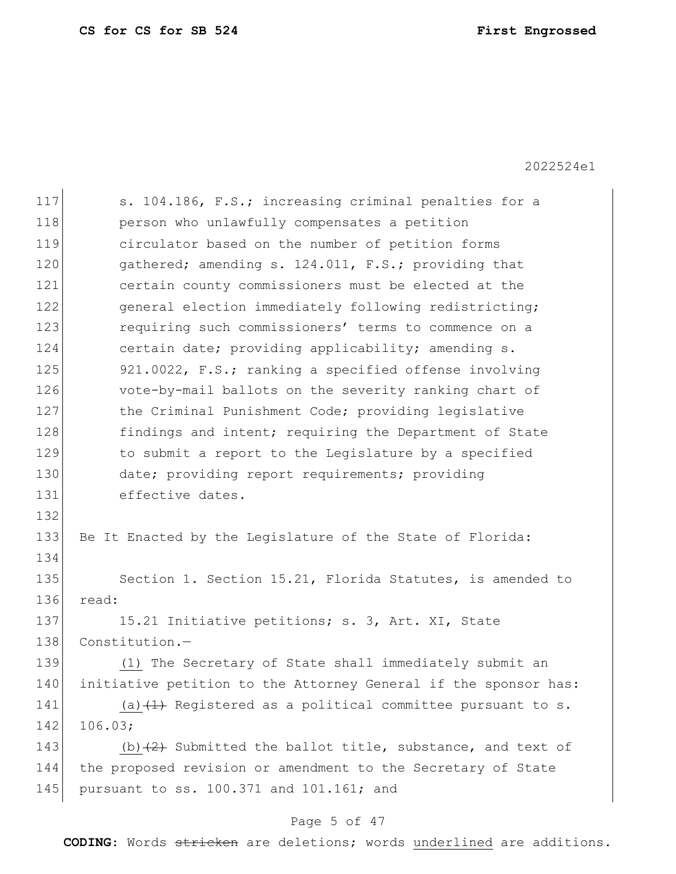| 117 | s. 104.186, F.S.; increasing criminal penalties for a           |  |  |  |  |
|-----|-----------------------------------------------------------------|--|--|--|--|
| 118 | person who unlawfully compensates a petition                    |  |  |  |  |
| 119 | circulator based on the number of petition forms                |  |  |  |  |
| 120 | gathered; amending s. 124.011, F.S.; providing that             |  |  |  |  |
| 121 | certain county commissioners must be elected at the             |  |  |  |  |
| 122 | general election immediately following redistricting;           |  |  |  |  |
| 123 | requiring such commissioners' terms to commence on a            |  |  |  |  |
| 124 | certain date; providing applicability; amending s.              |  |  |  |  |
| 125 | 921.0022, F.S.; ranking a specified offense involving           |  |  |  |  |
| 126 | vote-by-mail ballots on the severity ranking chart of           |  |  |  |  |
| 127 | the Criminal Punishment Code; providing legislative             |  |  |  |  |
| 128 | findings and intent; requiring the Department of State          |  |  |  |  |
| 129 | to submit a report to the Legislature by a specified            |  |  |  |  |
| 130 | date; providing report requirements; providing                  |  |  |  |  |
| 131 | effective dates.                                                |  |  |  |  |
| 132 |                                                                 |  |  |  |  |
| 133 | Be It Enacted by the Legislature of the State of Florida:       |  |  |  |  |
| 134 |                                                                 |  |  |  |  |
| 135 | Section 1. Section 15.21, Florida Statutes, is amended to       |  |  |  |  |
| 136 | read:                                                           |  |  |  |  |
| 137 | 15.21 Initiative petitions; s. 3, Art. XI, State                |  |  |  |  |
| 138 | Constitution.-                                                  |  |  |  |  |
| 139 | (1) The Secretary of State shall immediately submit an          |  |  |  |  |
| 140 | initiative petition to the Attorney General if the sponsor has: |  |  |  |  |
| 141 | (a) $(1)$ Registered as a political committee pursuant to s.    |  |  |  |  |
| 142 | 106.03;                                                         |  |  |  |  |
| 143 | (b) $(2)$ Submitted the ballot title, substance, and text of    |  |  |  |  |
| 144 | the proposed revision or amendment to the Secretary of State    |  |  |  |  |
| 145 | pursuant to ss. 100.371 and 101.161; and                        |  |  |  |  |
|     |                                                                 |  |  |  |  |

## Page 5 of 47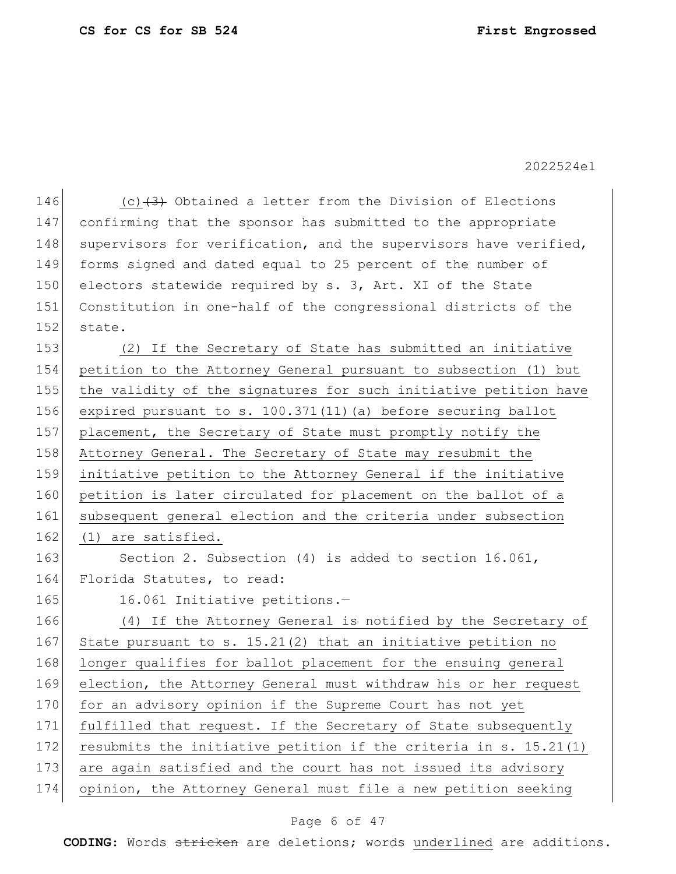146 (c) $(3)$  Obtained a letter from the Division of Elections 147 confirming that the sponsor has submitted to the appropriate 148 supervisors for verification, and the supervisors have verified, 149 forms signed and dated equal to 25 percent of the number of 150 electors statewide required by s. 3, Art. XI of the State 151 Constitution in one-half of the congressional districts of the 152 state. 153 (2) If the Secretary of State has submitted an initiative 154 petition to the Attorney General pursuant to subsection (1) but 155 the validity of the signatures for such initiative petition have 156 expired pursuant to s. 100.371(11)(a) before securing ballot 157 placement, the Secretary of State must promptly notify the 158 Attorney General. The Secretary of State may resubmit the 159 initiative petition to the Attorney General if the initiative 160 petition is later circulated for placement on the ballot of a 161 subsequent general election and the criteria under subsection 162 (1) are satisfied. 163 Section 2. Subsection (4) is added to section 16.061, 164 Florida Statutes, to read: 165 16.061 Initiative petitions.-166 (4) If the Attorney General is notified by the Secretary of 167 State pursuant to s. 15.21(2) that an initiative petition no 168 longer qualifies for ballot placement for the ensuing general 169 election, the Attorney General must withdraw his or her request 170 for an advisory opinion if the Supreme Court has not yet 171 fulfilled that request. If the Secretary of State subsequently 172 resubmits the initiative petition if the criteria in s.  $15.21(1)$ 173 are again satisfied and the court has not issued its advisory 174 opinion, the Attorney General must file a new petition seeking

### Page 6 of 47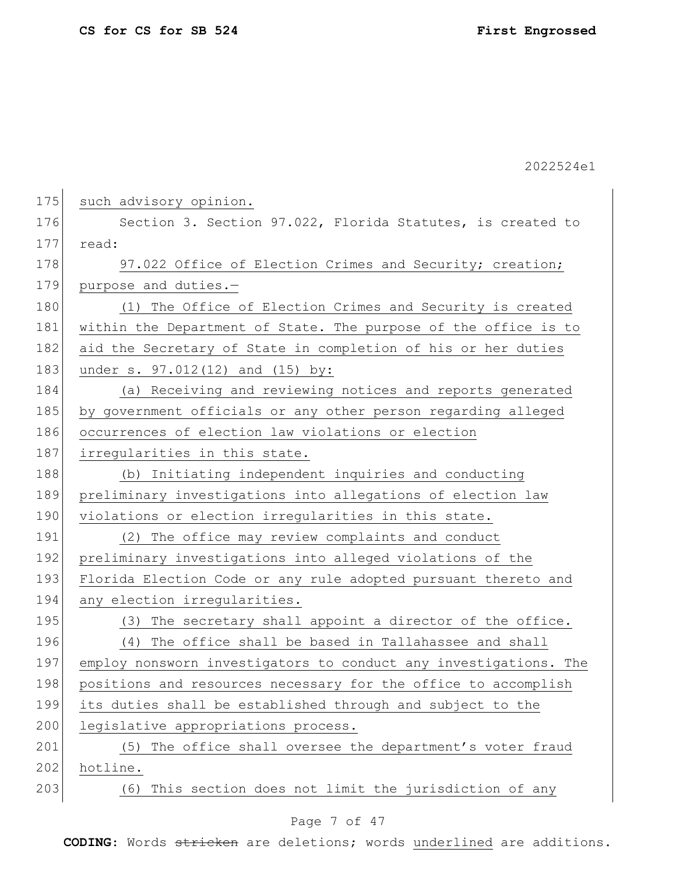| 175 | such advisory opinion.                                           |
|-----|------------------------------------------------------------------|
| 176 | Section 3. Section 97.022, Florida Statutes, is created to       |
| 177 | read:                                                            |
| 178 | 97.022 Office of Election Crimes and Security; creation;         |
| 179 | purpose and duties.-                                             |
| 180 | (1) The Office of Election Crimes and Security is created        |
| 181 | within the Department of State. The purpose of the office is to  |
| 182 | aid the Secretary of State in completion of his or her duties    |
| 183 | under s. 97.012(12) and (15) by:                                 |
| 184 | (a) Receiving and reviewing notices and reports generated        |
| 185 | by government officials or any other person regarding alleged    |
| 186 | occurrences of election law violations or election               |
| 187 | irregularities in this state.                                    |
| 188 | (b) Initiating independent inquiries and conducting              |
| 189 | preliminary investigations into allegations of election law      |
| 190 | violations or election irregularities in this state.             |
| 191 | The office may review complaints and conduct<br>(2)              |
| 192 | preliminary investigations into alleged violations of the        |
| 193 | Florida Election Code or any rule adopted pursuant thereto and   |
| 194 | any election irregularities.                                     |
| 195 | The secretary shall appoint a director of the office.<br>(3)     |
| 196 | The office shall be based in Tallahassee and shall<br>(4)        |
| 197 | employ nonsworn investigators to conduct any investigations. The |
| 198 | positions and resources necessary for the office to accomplish   |
| 199 | its duties shall be established through and subject to the       |
| 200 | legislative appropriations process.                              |
| 201 | The office shall oversee the department's voter fraud<br>(5)     |
| 202 | hotline.                                                         |
| 203 | This section does not limit the jurisdiction of any<br>(6)       |
|     |                                                                  |

## Page 7 of 47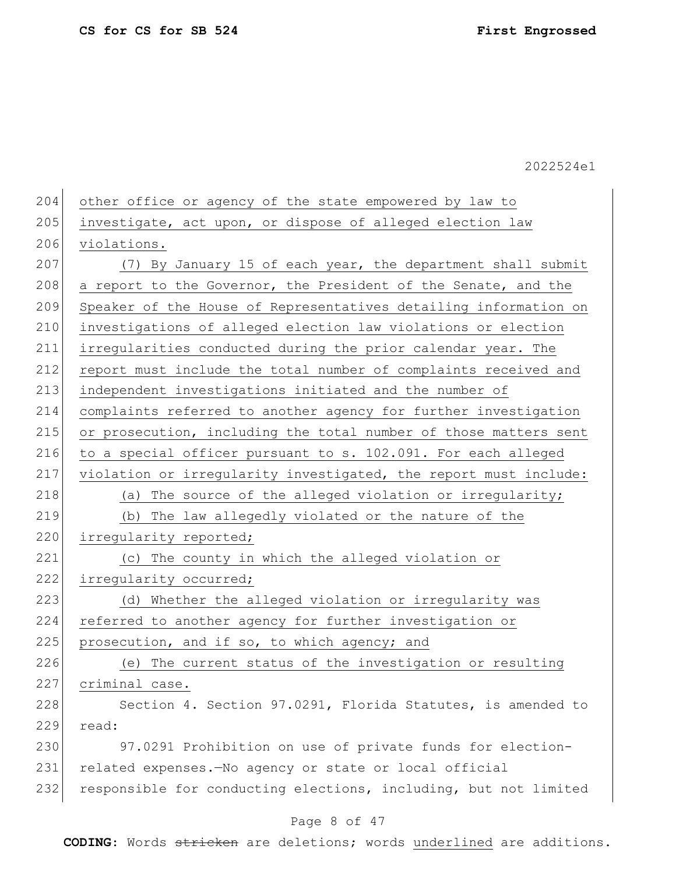204 other office or agency of the state empowered by law to 205 investigate, act upon, or dispose of alleged election law 206 violations. 207 (7) By January 15 of each year, the department shall submit 208 a report to the Governor, the President of the Senate, and the 209 Speaker of the House of Representatives detailing information on 210 investigations of alleged election law violations or election 211 irregularities conducted during the prior calendar year. The 212 report must include the total number of complaints received and 213 independent investigations initiated and the number of 214 complaints referred to another agency for further investigation 215 or prosecution, including the total number of those matters sent 216 to a special officer pursuant to s. 102.091. For each alleged 217 violation or irregularity investigated, the report must include: 218 (a) The source of the alleged violation or irregularity; 219 (b) The law allegedly violated or the nature of the 220 irregularity reported; 221 (c) The county in which the alleged violation or 222 irregularity occurred; 223 (d) Whether the alleged violation or irregularity was 224 referred to another agency for further investigation or 225 prosecution, and if so, to which agency; and 226 (e) The current status of the investigation or resulting 227 criminal case. 228 Section 4. Section 97.0291, Florida Statutes, is amended to 229 read: 230 97.0291 Prohibition on use of private funds for election-231 related expenses.—No agency or state or local official 232 responsible for conducting elections, including, but not limited

### Page 8 of 47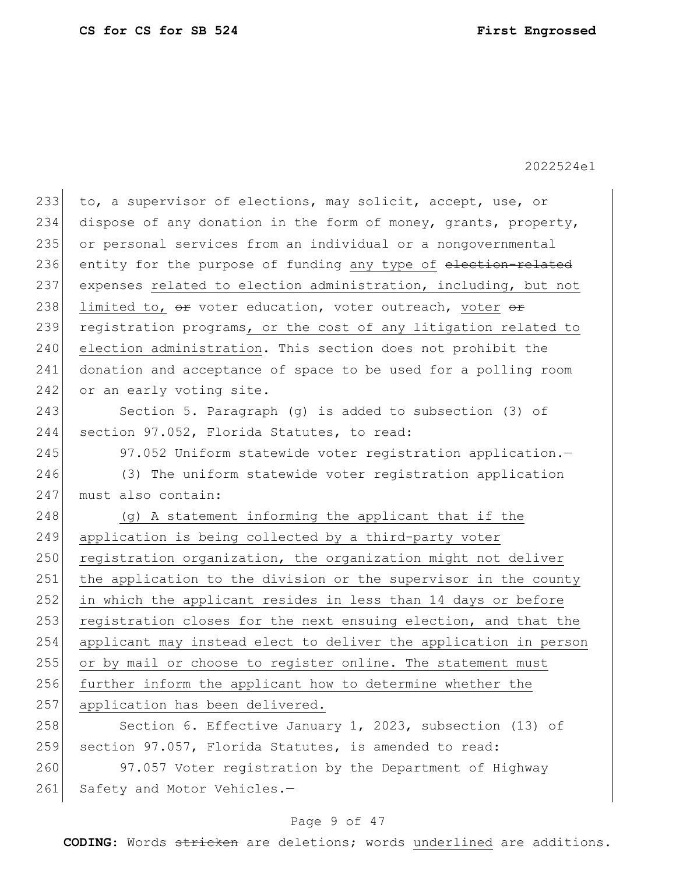233 to, a supervisor of elections, may solicit, accept, use, or 234 dispose of any donation in the form of money, grants, property, 235 or personal services from an individual or a nongovernmental 236 entity for the purpose of funding any type of election-related 237 expenses related to election administration, including, but not 238 limited to,  $\Theta$  voter education, voter outreach, voter  $\Theta$   $\mathbf{r}$ 239 registration programs, or the cost of any litigation related to 240 election administration. This section does not prohibit the 241 donation and acceptance of space to be used for a polling room 242 or an early voting site. 243 Section 5. Paragraph (g) is added to subsection (3) of 244 section 97.052, Florida Statutes, to read: 245 97.052 Uniform statewide voter registration application. 246 (3) The uniform statewide voter registration application 247 must also contain: 248 (g) A statement informing the applicant that if the 249 application is being collected by a third-party voter  $250$  registration organization, the organization might not deliver 251 the application to the division or the supervisor in the county 252 in which the applicant resides in less than 14 days or before 253 registration closes for the next ensuing election, and that the 254 applicant may instead elect to deliver the application in person 255 or by mail or choose to register online. The statement must 256 further inform the applicant how to determine whether the 257 application has been delivered. 258 Section 6. Effective January 1, 2023, subsection (13) of 259 section 97.057, Florida Statutes, is amended to read:

260 97.057 Voter registration by the Department of Highway 261 Safety and Motor Vehicles.-

### Page 9 of 47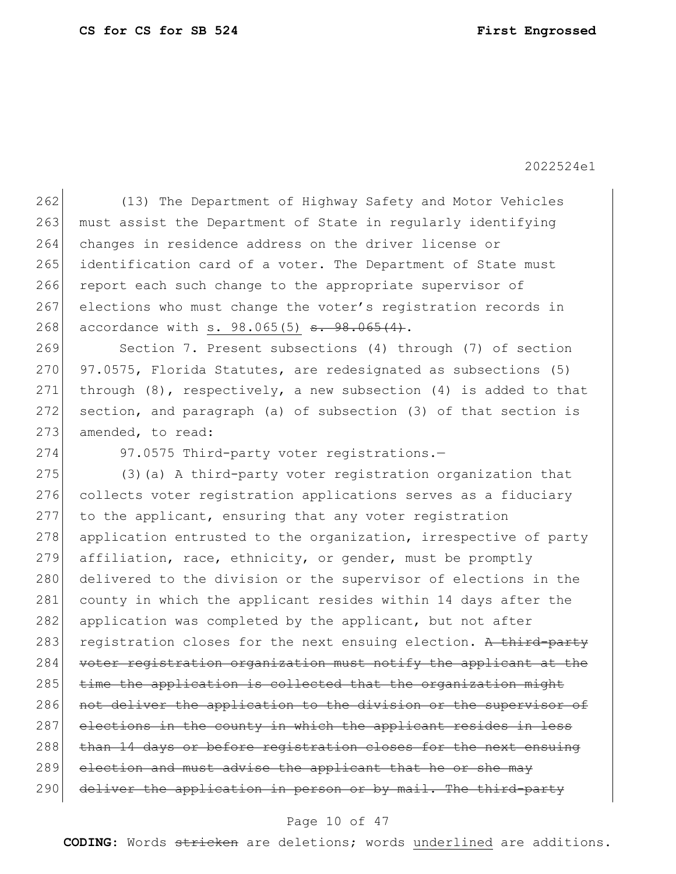262 (13) The Department of Highway Safety and Motor Vehicles 263 must assist the Department of State in regularly identifying 264 changes in residence address on the driver license or 265 identification card of a voter. The Department of State must 266 report each such change to the appropriate supervisor of 267 elections who must change the voter's registration records in 268 accordance with s. 98.065(5) <del>s. 98.065(4)</del>.

269 Section 7. Present subsections (4) through (7) of section  $270$  97.0575, Florida Statutes, are redesignated as subsections (5) 271 through  $(8)$ , respectively, a new subsection  $(4)$  is added to that 272 section, and paragraph (a) of subsection (3) of that section is 273 amended, to read:

274 97.0575 Third-party voter registrations.-

275 (3) (a) A third-party voter registration organization that 276 collects voter registration applications serves as a fiduciary 277 to the applicant, ensuring that any voter registration 278 application entrusted to the organization, irrespective of party 279 affiliation, race, ethnicity, or gender, must be promptly 280 delivered to the division or the supervisor of elections in the 281 county in which the applicant resides within 14 days after the 282 application was completed by the applicant, but not after 283 registration closes for the next ensuing election. A third-party 284 voter registration organization must notify the applicant at the 285 time the application is collected that the organization might 286 not deliver the application to the division or the supervisor of 287 elections in the county in which the applicant resides in less 288 than 14 days or before registration closes for the next ensuing 289 election and must advise the applicant that he or she may 290 deliver the application in person or by mail. The third-party

#### Page 10 of 47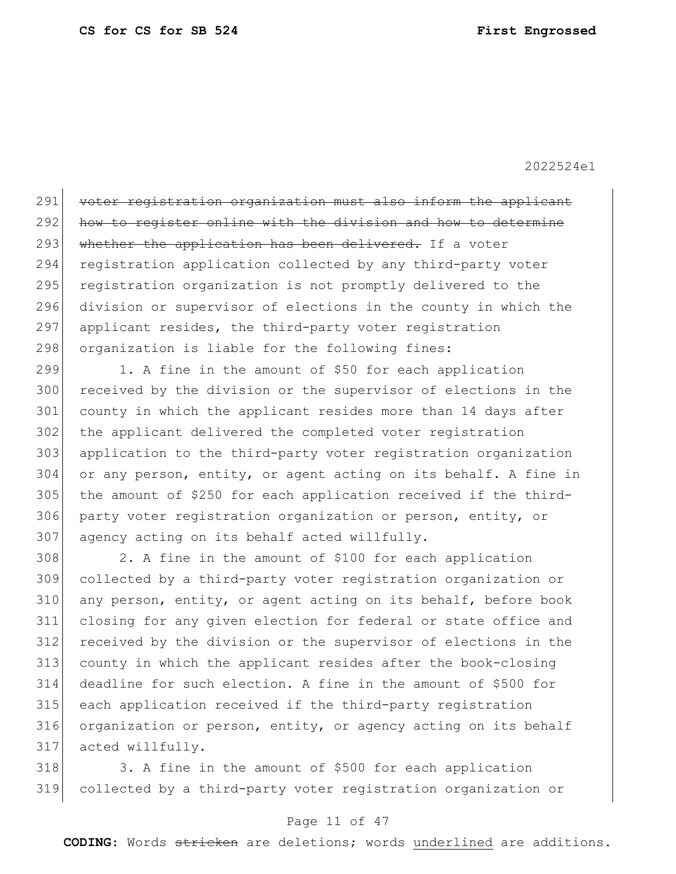291 voter registration organization must also inform the applicant 292 how to register online with the division and how to determine 293 whether the application has been delivered. If a voter 294 registration application collected by any third-party voter 295 registration organization is not promptly delivered to the 296 division or supervisor of elections in the county in which the 297 applicant resides, the third-party voter registration 298 organization is liable for the following fines:

299 1. A fine in the amount of \$50 for each application 300 received by the division or the supervisor of elections in the 301 county in which the applicant resides more than 14 days after 302 the applicant delivered the completed voter registration 303 application to the third-party voter registration organization 304 or any person, entity, or agent acting on its behalf. A fine in 305 the amount of \$250 for each application received if the third-306 party voter registration organization or person, entity, or 307 agency acting on its behalf acted willfully.

 2. A fine in the amount of \$100 for each application collected by a third-party voter registration organization or 310 any person, entity, or agent acting on its behalf, before book closing for any given election for federal or state office and received by the division or the supervisor of elections in the county in which the applicant resides after the book-closing deadline for such election. A fine in the amount of \$500 for each application received if the third-party registration 316 organization or person, entity, or agency acting on its behalf acted willfully.

318 3. A fine in the amount of \$500 for each application 319 collected by a third-party voter registration organization or

#### Page 11 of 47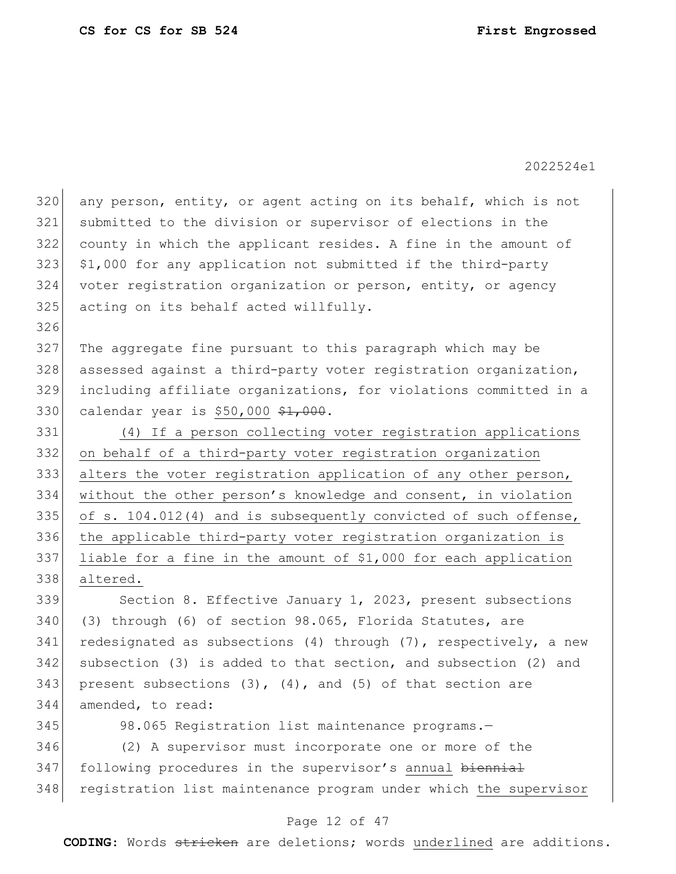320 any person, entity, or agent acting on its behalf, which is not 321 submitted to the division or supervisor of elections in the 322 county in which the applicant resides. A fine in the amount of 323 \$1,000 for any application not submitted if the third-party 324 voter registration organization or person, entity, or agency 325 acting on its behalf acted willfully. 326 327 The aggregate fine pursuant to this paragraph which may be 328 assessed against a third-party voter registration organization, 329 including affiliate organizations, for violations committed in a 330 calendar year is \$50,000 \$1,000. 331 (4) If a person collecting voter registration applications 332 on behalf of a third-party voter registration organization 333 alters the voter registration application of any other person, 334 without the other person's knowledge and consent, in violation 335 of s. 104.012(4) and is subsequently convicted of such offense, 336 the applicable third-party voter registration organization is 337 liable for a fine in the amount of \$1,000 for each application 338 altered. 339 Section 8. Effective January 1, 2023, present subsections 340 (3) through (6) of section 98.065, Florida Statutes, are 341 redesignated as subsections (4) through  $(7)$ , respectively, a new 342 subsection (3) is added to that section, and subsection (2) and 343 present subsections  $(3)$ ,  $(4)$ , and  $(5)$  of that section are 344 amended, to read: 345 98.065 Registration list maintenance programs.

346 (2) A supervisor must incorporate one or more of the 347 following procedures in the supervisor's annual biennial 348 registration list maintenance program under which the supervisor

#### Page 12 of 47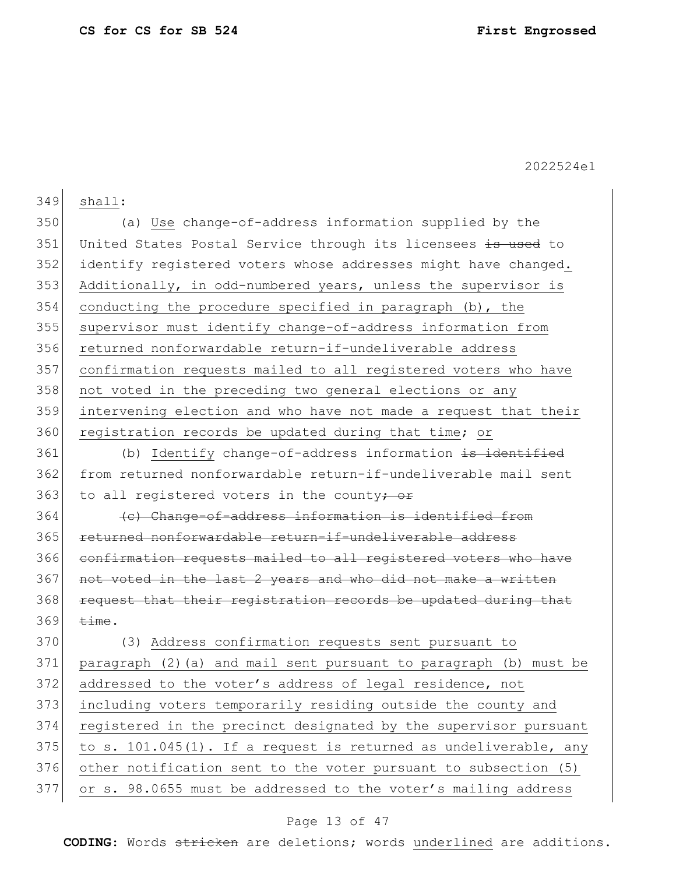349 shall: 350 (a) Use change-of-address information supplied by the 351 United States Postal Service through its licensees is used to 352 identify registered voters whose addresses might have changed. 353 Additionally, in odd-numbered years, unless the supervisor is 354 conducting the procedure specified in paragraph (b), the 355 supervisor must identify change-of-address information from 356 returned nonforwardable return-if-undeliverable address 357 confirmation requests mailed to all registered voters who have 358 not voted in the preceding two general elections or any 359 intervening election and who have not made a request that their 360 registration records be updated during that time; or 361 (b) Identify change-of-address information is identified 362 from returned nonforwardable return-if-undeliverable mail sent 363 to all registered voters in the county<del>; or</del> 364 (c) Change-of-address information is identified from 365 returned nonforwardable return-if-undeliverable address 366 confirmation requests mailed to all registered voters who have 367 not voted in the last 2 years and who did not make a written 368 request that their registration records be updated during that  $369$  time. 370 (3) Address confirmation requests sent pursuant to 371 paragraph (2)(a) and mail sent pursuant to paragraph (b) must be 372 addressed to the voter's address of legal residence, not 373 including voters temporarily residing outside the county and 374 registered in the precinct designated by the supervisor pursuant 375 to s. 101.045(1). If a request is returned as undeliverable, any

376 other notification sent to the voter pursuant to subsection (5)

### 377 or s. 98.0655 must be addressed to the voter's mailing address

### Page 13 of 47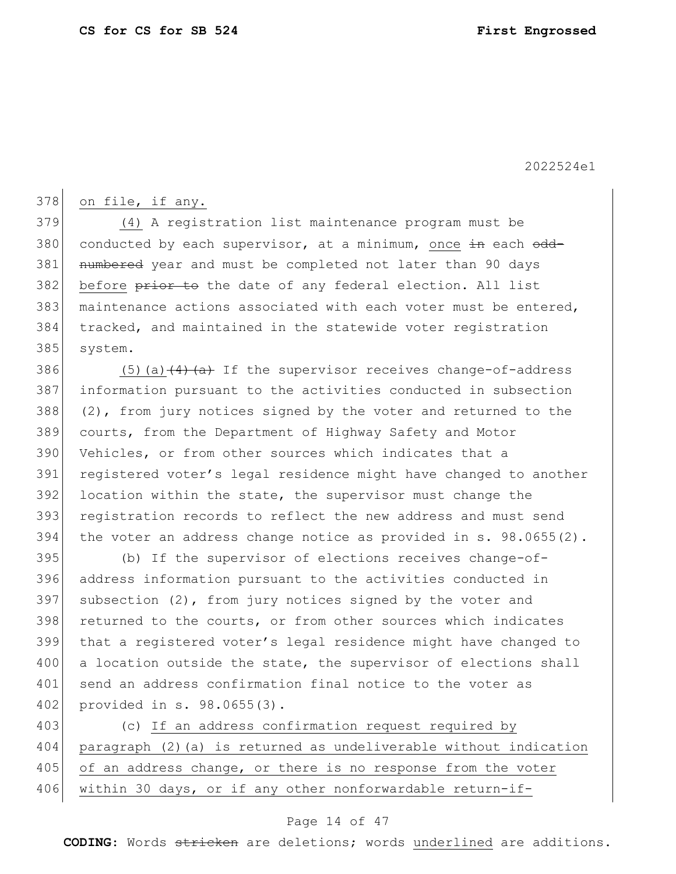$378$  on file, if any.

379 (4) A registration list maintenance program must be 380 conducted by each supervisor, at a minimum, once  $\pm n$  each  $\theta$ dd-381 numbered year and must be completed not later than 90 days 382 before prior to the date of any federal election. All list 383 maintenance actions associated with each voter must be entered, 384 tracked, and maintained in the statewide voter registration 385 system.

386 (5)(a) $\left(4\right)$  (a) If the supervisor receives change-of-address information pursuant to the activities conducted in subsection  $(2)$ , from jury notices signed by the voter and returned to the courts, from the Department of Highway Safety and Motor Vehicles, or from other sources which indicates that a 391 registered voter's legal residence might have changed to another 392 location within the state, the supervisor must change the registration records to reflect the new address and must send the voter an address change notice as provided in s. 98.0655(2).

395 (b) If the supervisor of elections receives change-of-396 address information pursuant to the activities conducted in 397 subsection  $(2)$ , from jury notices signed by the voter and 398 returned to the courts, or from other sources which indicates 399 that a registered voter's legal residence might have changed to 400 a location outside the state, the supervisor of elections shall 401 send an address confirmation final notice to the voter as 402 provided in s. 98.0655(3).

403 (c) If an address confirmation request required by 404 paragraph (2)(a) is returned as undeliverable without indication 405 of an address change, or there is no response from the voter 406 within 30 days, or if any other nonforwardable return-if-

### Page 14 of 47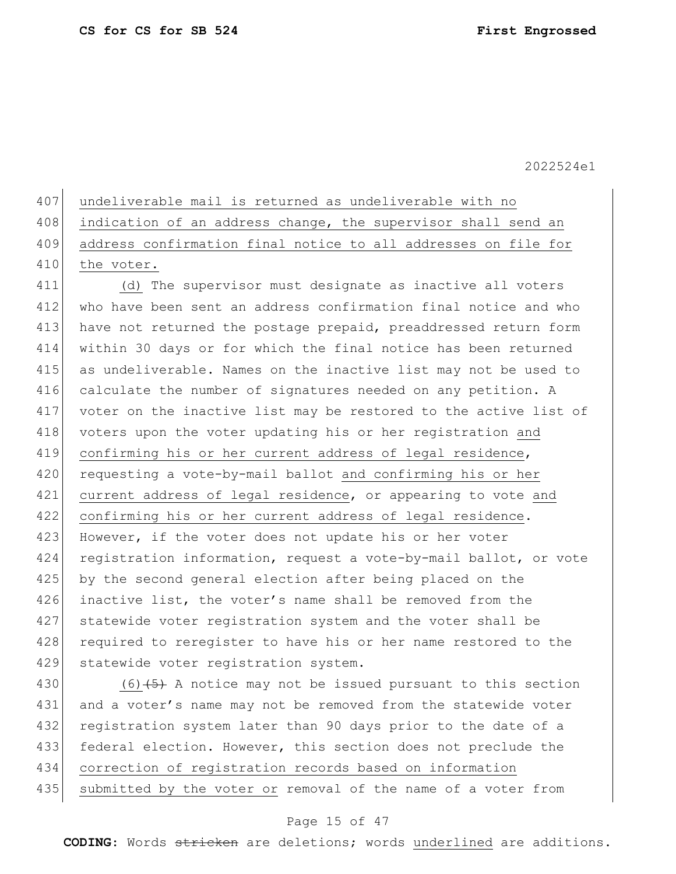407 undeliverable mail is returned as undeliverable with no 408 indication of an address change, the supervisor shall send an 409 address confirmation final notice to all addresses on file for 410 the voter.

411 (d) The supervisor must designate as inactive all voters 412 who have been sent an address confirmation final notice and who 413 have not returned the postage prepaid, preaddressed return form 414 within 30 days or for which the final notice has been returned 415 as undeliverable. Names on the inactive list may not be used to 416 calculate the number of signatures needed on any petition. A 417 voter on the inactive list may be restored to the active list of 418 voters upon the voter updating his or her registration and 419 confirming his or her current address of legal residence, 420 requesting a vote-by-mail ballot and confirming his or her 421 current address of legal residence, or appearing to vote and 422 confirming his or her current address of legal residence. 423 However, if the voter does not update his or her voter 424 registration information, request a vote-by-mail ballot, or vote 425 by the second general election after being placed on the 426 inactive list, the voter's name shall be removed from the 427 statewide voter registration system and the voter shall be 428 required to reregister to have his or her name restored to the 429 statewide voter registration system.

430 (6) $\left(5\right)$  A notice may not be issued pursuant to this section 431 and a voter's name may not be removed from the statewide voter 432 registration system later than 90 days prior to the date of a 433 federal election. However, this section does not preclude the 434 correction of registration records based on information 435 submitted by the voter or removal of the name of a voter from

#### Page 15 of 47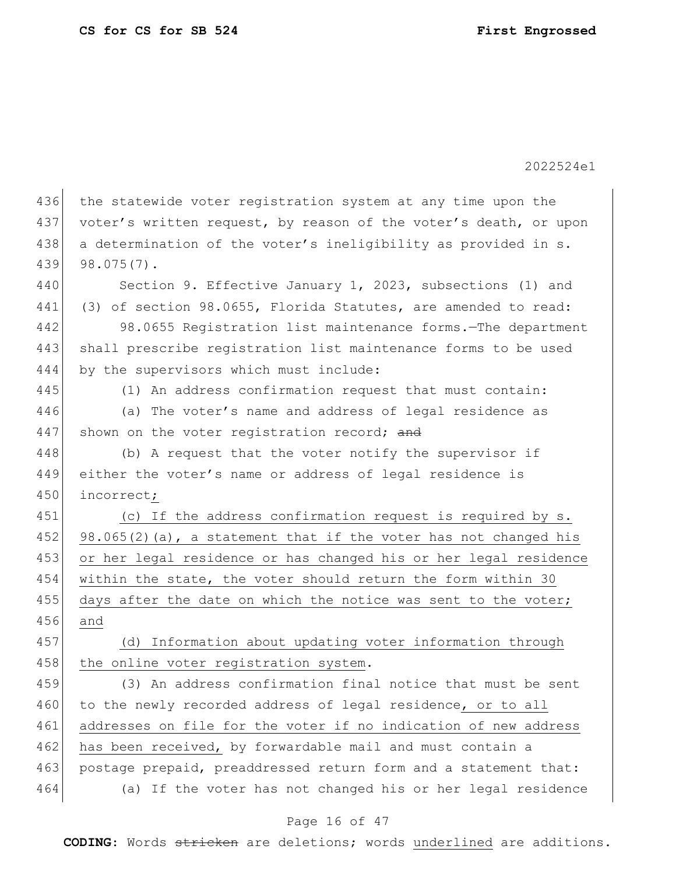Page 16 of 47 436 the statewide voter registration system at any time upon the 437 voter's written request, by reason of the voter's death, or upon 438 a determination of the voter's ineligibility as provided in s. 439 98.075(7). 440 Section 9. Effective January 1, 2023, subsections (1) and 441 (3) of section 98.0655, Florida Statutes, are amended to read: 442 98.0655 Registration list maintenance forms.—The department 443 shall prescribe registration list maintenance forms to be used 444 by the supervisors which must include: 445 (1) An address confirmation request that must contain: 446 (a) The voter's name and address of legal residence as 447 shown on the voter registration record; and 448 (b) A request that the voter notify the supervisor if 449 either the voter's name or address of legal residence is 450 incorrect; 451 (c) If the address confirmation request is required by s. 452 98.065(2)(a), a statement that if the voter has not changed his 453 or her legal residence or has changed his or her legal residence 454 within the state, the voter should return the form within 30 455 days after the date on which the notice was sent to the voter; 456 and 457 (d) Information about updating voter information through 458 the online voter registration system. 459 (3) An address confirmation final notice that must be sent 460 to the newly recorded address of legal residence, or to all 461 addresses on file for the voter if no indication of new address 462 has been received, by forwardable mail and must contain a 463 postage prepaid, preaddressed return form and a statement that: 464 (a) If the voter has not changed his or her legal residence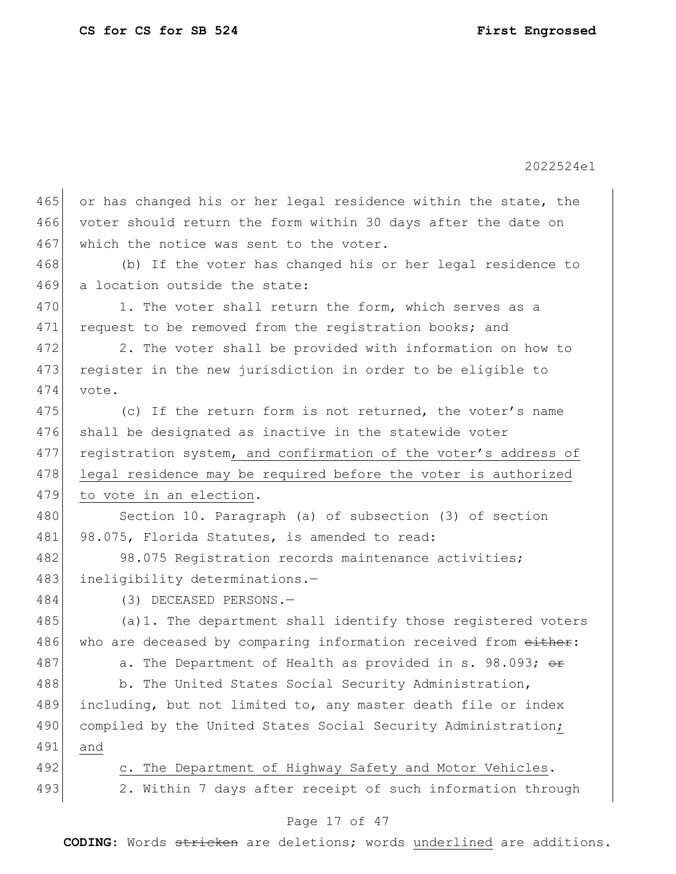| 465 | or has changed his or her legal residence within the state, the |  |  |  |  |
|-----|-----------------------------------------------------------------|--|--|--|--|
| 466 | voter should return the form within 30 days after the date on   |  |  |  |  |
| 467 | which the notice was sent to the voter.                         |  |  |  |  |
| 468 | (b) If the voter has changed his or her legal residence to      |  |  |  |  |
| 469 | a location outside the state:                                   |  |  |  |  |
| 470 | 1. The voter shall return the form, which serves as a           |  |  |  |  |
| 471 | request to be removed from the reqistration books; and          |  |  |  |  |
| 472 | 2. The voter shall be provided with information on how to       |  |  |  |  |
| 473 | register in the new jurisdiction in order to be eligible to     |  |  |  |  |
| 474 | vote.                                                           |  |  |  |  |
| 475 | (c) If the return form is not returned, the voter's name        |  |  |  |  |
| 476 | shall be designated as inactive in the statewide voter          |  |  |  |  |
| 477 | registration system, and confirmation of the voter's address of |  |  |  |  |
| 478 | legal residence may be required before the voter is authorized  |  |  |  |  |
| 479 | to vote in an election.                                         |  |  |  |  |
| 480 | Section 10. Paragraph (a) of subsection (3) of section          |  |  |  |  |
| 481 | 98.075, Florida Statutes, is amended to read:                   |  |  |  |  |
| 482 | 98.075 Registration records maintenance activities;             |  |  |  |  |
| 483 | ineligibility determinations.-                                  |  |  |  |  |
| 484 | (3) DECEASED PERSONS.-                                          |  |  |  |  |
| 485 | (a) 1. The department shall identify those registered voters    |  |  |  |  |
| 486 |                                                                 |  |  |  |  |
|     | who are deceased by comparing information received from either: |  |  |  |  |
| 487 | a. The Department of Health as provided in s. 98.093; or        |  |  |  |  |
| 488 | b. The United States Social Security Administration,            |  |  |  |  |
| 489 | including, but not limited to, any master death file or index   |  |  |  |  |
| 490 | compiled by the United States Social Security Administration;   |  |  |  |  |
| 491 | and                                                             |  |  |  |  |
| 492 | c. The Department of Highway Safety and Motor Vehicles.         |  |  |  |  |
| 493 | 2. Within 7 days after receipt of such information through      |  |  |  |  |

## Page 17 of 47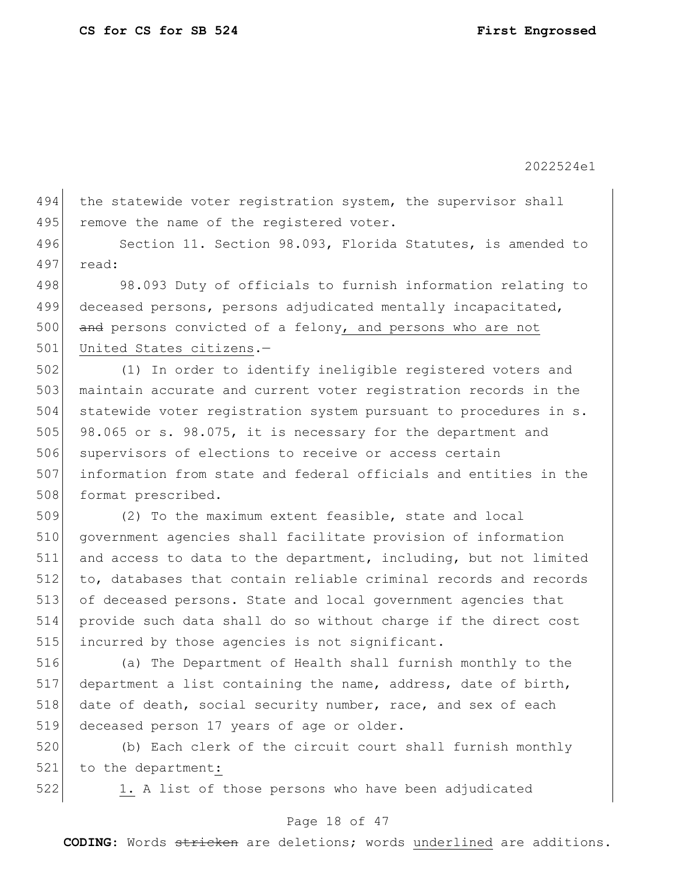494 the statewide voter registration system, the supervisor shall 495 remove the name of the registered voter.

496 Section 11. Section 98.093, Florida Statutes, is amended to 497 read:

498 98.093 Duty of officials to furnish information relating to 499 deceased persons, persons adjudicated mentally incapacitated,  $500$  and persons convicted of a felony, and persons who are not 501 United States citizens.-

502 (1) In order to identify ineligible registered voters and 503 maintain accurate and current voter registration records in the 504 statewide voter registration system pursuant to procedures in s. 505 98.065 or s. 98.075, it is necessary for the department and 506 supervisors of elections to receive or access certain 507 information from state and federal officials and entities in the 508 format prescribed.

 (2) To the maximum extent feasible, state and local government agencies shall facilitate provision of information and access to data to the department, including, but not limited to, databases that contain reliable criminal records and records of deceased persons. State and local government agencies that provide such data shall do so without charge if the direct cost 515 incurred by those agencies is not significant.

516 (a) The Department of Health shall furnish monthly to the 517 department a list containing the name, address, date of birth, 518 date of death, social security number, race, and sex of each 519 deceased person 17 years of age or older.

520 (b) Each clerk of the circuit court shall furnish monthly 521 to the department:

522 1. A list of those persons who have been adjudicated

#### Page 18 of 47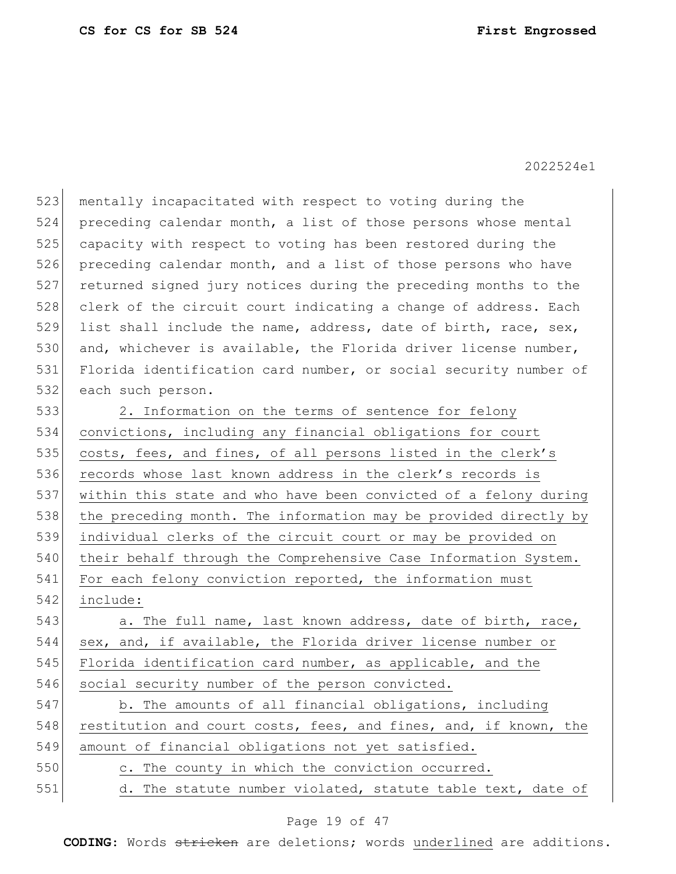523 mentally incapacitated with respect to voting during the 524 preceding calendar month, a list of those persons whose mental 525 capacity with respect to voting has been restored during the 526 preceding calendar month, and a list of those persons who have 527 returned signed jury notices during the preceding months to the 528 clerk of the circuit court indicating a change of address. Each 529 list shall include the name, address, date of birth, race, sex, 530 and, whichever is available, the Florida driver license number, 531 Florida identification card number, or social security number of 532 each such person. 533 2. Information on the terms of sentence for felony 534 convictions, including any financial obligations for court 535 costs, fees, and fines, of all persons listed in the clerk's 536 records whose last known address in the clerk's records is 537 within this state and who have been convicted of a felony during 538 the preceding month. The information may be provided directly by 539 individual clerks of the circuit court or may be provided on

540 their behalf through the Comprehensive Case Information System. 541 For each felony conviction reported, the information must 542 include:

543 a. The full name, last known address, date of birth, race, 544 sex, and, if available, the Florida driver license number or 545 Florida identification card number, as applicable, and the 546 social security number of the person convicted.

547 b. The amounts of all financial obligations, including 548 restitution and court costs, fees, and fines, and, if known, the 549 amount of financial obligations not yet satisfied.

550 c. The county in which the conviction occurred.

551 d. The statute number violated, statute table text, date of

#### Page 19 of 47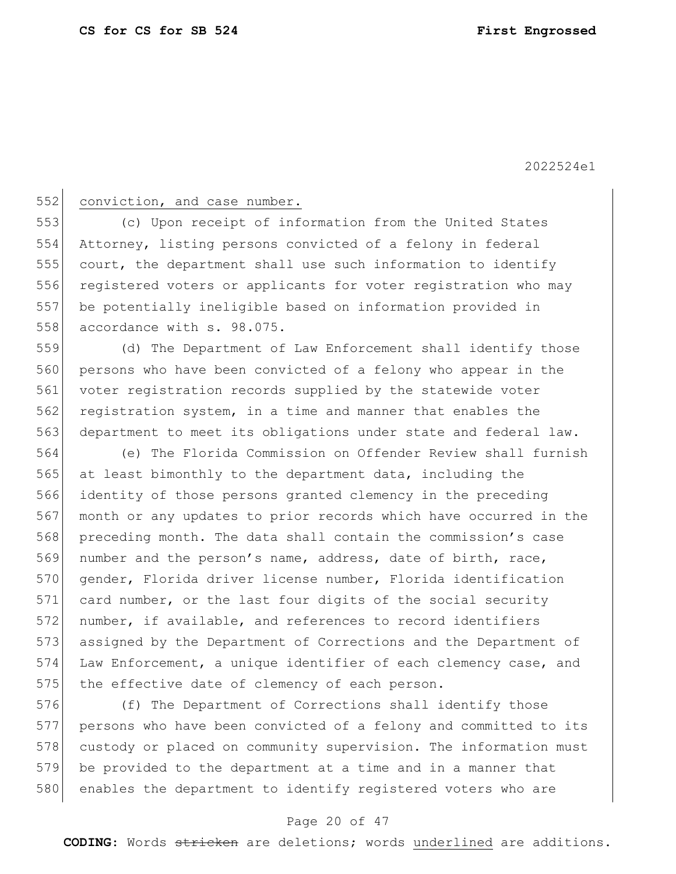### 552 conviction, and case number.

 (c) Upon receipt of information from the United States Attorney, listing persons convicted of a felony in federal court, the department shall use such information to identify 556 registered voters or applicants for voter registration who may be potentially ineligible based on information provided in 558 accordance with s. 98.075.

559 (d) The Department of Law Enforcement shall identify those 560 persons who have been convicted of a felony who appear in the 561 voter registration records supplied by the statewide voter 562 registration system, in a time and manner that enables the 563 department to meet its obligations under state and federal law.

 (e) The Florida Commission on Offender Review shall furnish at least bimonthly to the department data, including the identity of those persons granted clemency in the preceding month or any updates to prior records which have occurred in the preceding month. The data shall contain the commission's case 569 number and the person's name, address, date of birth, race, gender, Florida driver license number, Florida identification 571 card number, or the last four digits of the social security number, if available, and references to record identifiers assigned by the Department of Corrections and the Department of Law Enforcement, a unique identifier of each clemency case, and 575 the effective date of clemency of each person.

576 (f) The Department of Corrections shall identify those 577 persons who have been convicted of a felony and committed to its 578 custody or placed on community supervision. The information must 579 be provided to the department at a time and in a manner that 580 enables the department to identify registered voters who are

### Page 20 of 47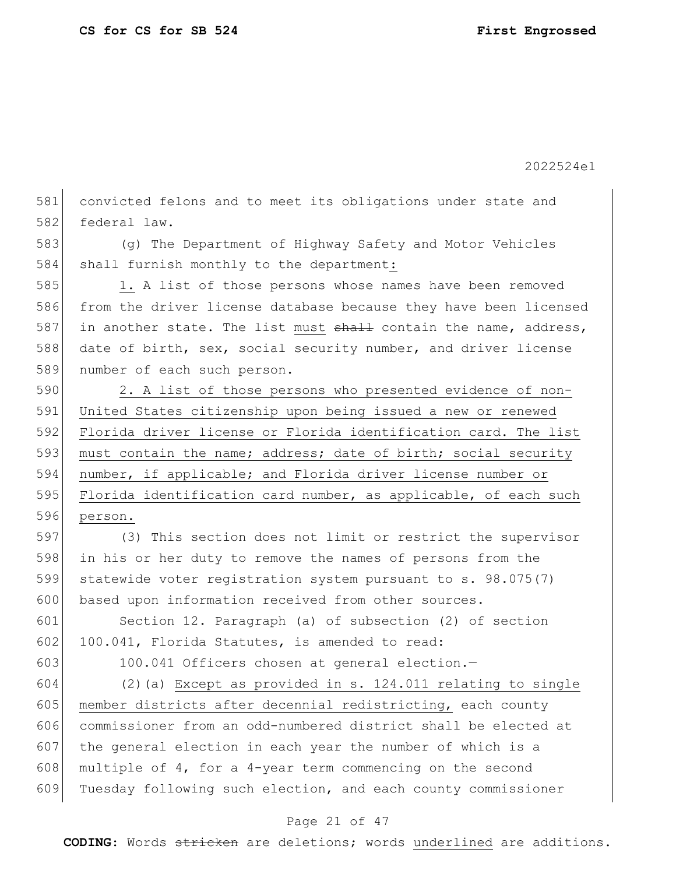581 convicted felons and to meet its obligations under state and 582 federal law.

583 (g) The Department of Highway Safety and Motor Vehicles 584 shall furnish monthly to the department:

585 1. A list of those persons whose names have been removed 586 from the driver license database because they have been licensed 587 in another state. The list must  $shall$  contain the name, address, 588 date of birth, sex, social security number, and driver license 589 number of each such person.

590 2. A list of those persons who presented evidence of non-591 United States citizenship upon being issued a new or renewed 592 Florida driver license or Florida identification card. The list 593 must contain the name; address; date of birth; social security 594 number, if applicable; and Florida driver license number or 595 Florida identification card number, as applicable, of each such 596 person.

 (3) This section does not limit or restrict the supervisor in his or her duty to remove the names of persons from the statewide voter registration system pursuant to s. 98.075(7) 600 based upon information received from other sources.

601 Section 12. Paragraph (a) of subsection (2) of section 602 100.041, Florida Statutes, is amended to read:

603 100.041 Officers chosen at general election.—

604 (2)(a) Except as provided in s. 124.011 relating to single 605 member districts after decennial redistricting, each county 606 commissioner from an odd-numbered district shall be elected at 607 the general election in each year the number of which is a 608 multiple of 4, for a 4-year term commencing on the second 609 Tuesday following such election, and each county commissioner

### Page 21 of 47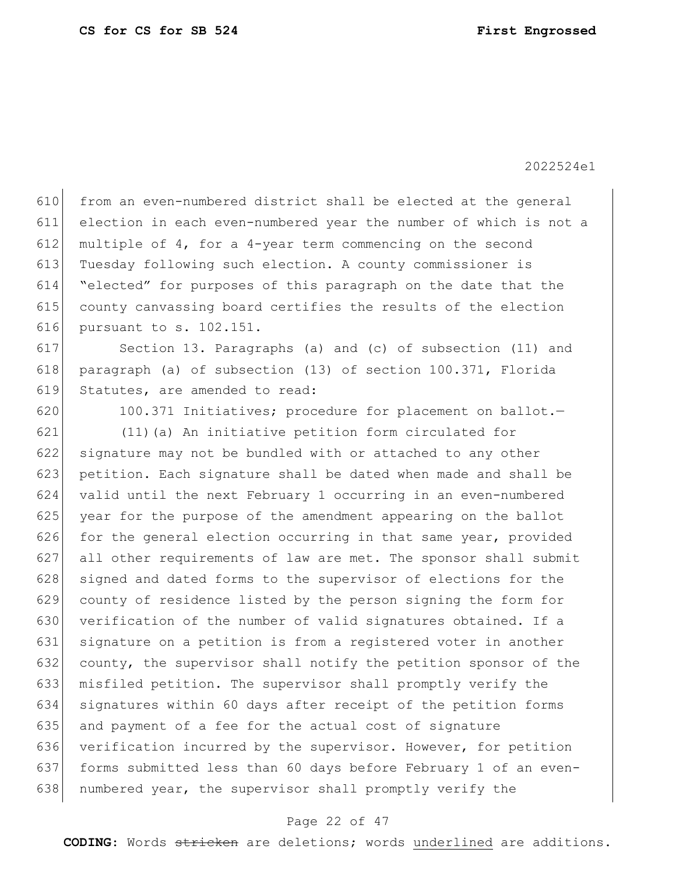from an even-numbered district shall be elected at the general election in each even-numbered year the number of which is not a multiple of 4, for a 4-year term commencing on the second Tuesday following such election. A county commissioner is "elected" for purposes of this paragraph on the date that the county canvassing board certifies the results of the election pursuant to s. 102.151. Section 13. Paragraphs (a) and (c) of subsection (11) and paragraph (a) of subsection (13) of section 100.371, Florida Statutes, are amended to read: 620 100.371 Initiatives; procedure for placement on ballot. (11)(a) An initiative petition form circulated for signature may not be bundled with or attached to any other petition. Each signature shall be dated when made and shall be valid until the next February 1 occurring in an even-numbered year for the purpose of the amendment appearing on the ballot for the general election occurring in that same year, provided 627 all other requirements of law are met. The sponsor shall submit 628 signed and dated forms to the supervisor of elections for the county of residence listed by the person signing the form for 630 verification of the number of valid signatures obtained. If a signature on a petition is from a registered voter in another county, the supervisor shall notify the petition sponsor of the misfiled petition. The supervisor shall promptly verify the signatures within 60 days after receipt of the petition forms and payment of a fee for the actual cost of signature 636 verification incurred by the supervisor. However, for petition forms submitted less than 60 days before February 1 of an even-638 | numbered year, the supervisor shall promptly verify the

#### Page 22 of 47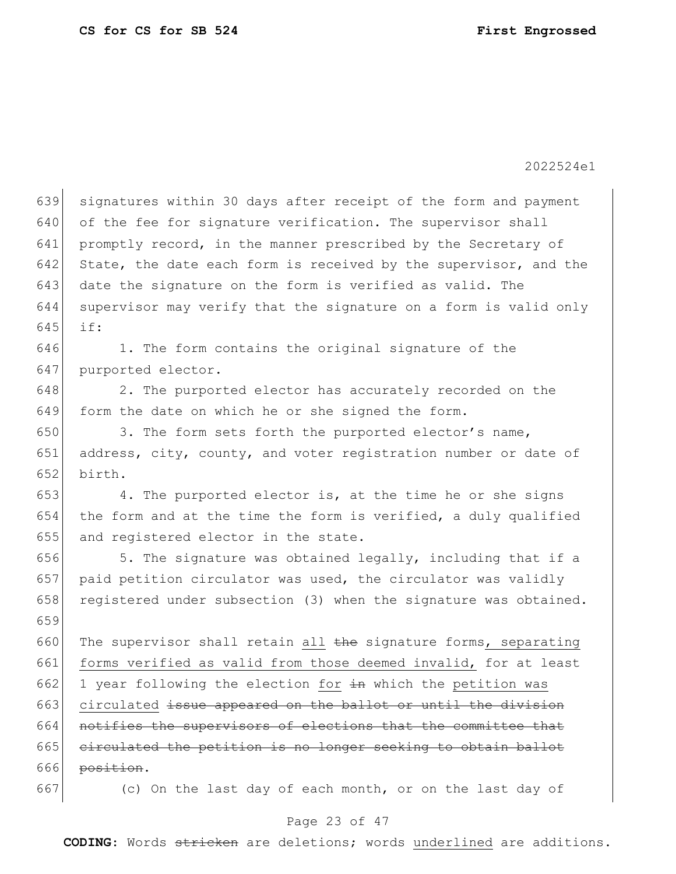639 signatures within 30 days after receipt of the form and payment 640 of the fee for signature verification. The supervisor shall 641 promptly record, in the manner prescribed by the Secretary of 642 State, the date each form is received by the supervisor, and the 643 date the signature on the form is verified as valid. The 644 supervisor may verify that the signature on a form is valid only 645 if: 646 1. The form contains the original signature of the 647 purported elector. 648 2. The purported elector has accurately recorded on the 649 form the date on which he or she signed the form. 650 3. The form sets forth the purported elector's name, 651 address, city, county, and voter registration number or date of 652 birth.  $653$  4. The purported elector is, at the time he or she signs 654 the form and at the time the form is verified, a duly qualified 655 and registered elector in the state. 656  $\vert$  5. The signature was obtained legally, including that if a 657 paid petition circulator was used, the circulator was validly 658 registered under subsection (3) when the signature was obtained. 659 660 The supervisor shall retain all  $\frac{1}{2}$  the signature forms, separating 661 forms verified as valid from those deemed invalid, for at least 662 1 year following the election for  $\pm n$  which the petition was 663 circulated issue appeared on the ballot or until the division 664 notifies the supervisors of elections that the committee that 665 circulated the petition is no longer seeking to obtain ballot  $666$  position. 667 (c) On the last day of each month, or on the last day of

#### Page 23 of 47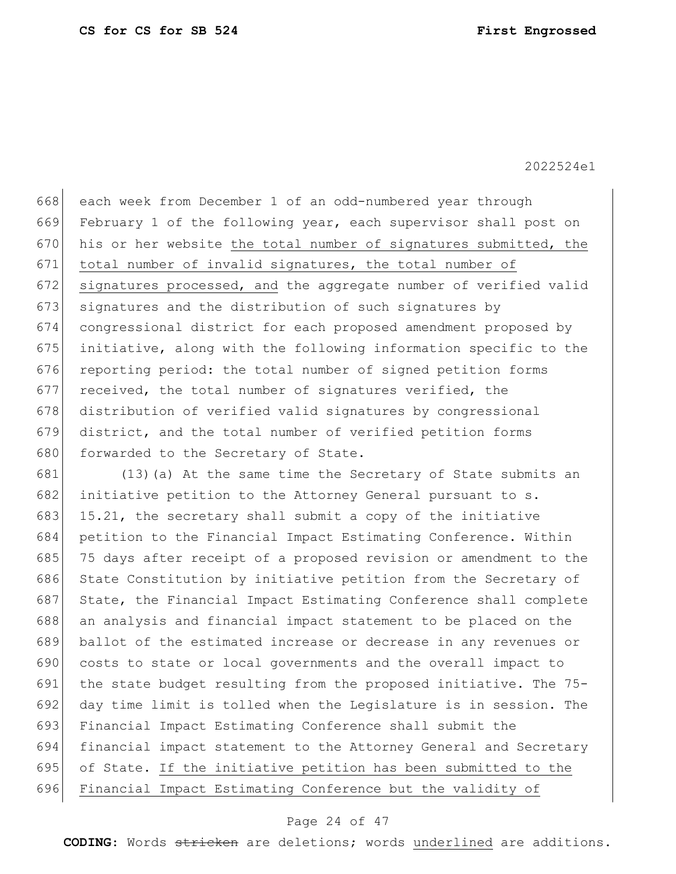each week from December 1 of an odd-numbered year through February 1 of the following year, each supervisor shall post on 670 his or her website the total number of signatures submitted, the total number of invalid signatures, the total number of 672 signatures processed, and the aggregate number of verified valid signatures and the distribution of such signatures by congressional district for each proposed amendment proposed by initiative, along with the following information specific to the 676 reporting period: the total number of signed petition forms received, the total number of signatures verified, the 678 distribution of verified valid signatures by congressional district, and the total number of verified petition forms 680 forwarded to the Secretary of State.

 (13)(a) At the same time the Secretary of State submits an 682 initiative petition to the Attorney General pursuant to s. 683 15.21, the secretary shall submit a copy of the initiative petition to the Financial Impact Estimating Conference. Within 75 days after receipt of a proposed revision or amendment to the 686 State Constitution by initiative petition from the Secretary of 687 State, the Financial Impact Estimating Conference shall complete 688 an analysis and financial impact statement to be placed on the ballot of the estimated increase or decrease in any revenues or costs to state or local governments and the overall impact to the state budget resulting from the proposed initiative. The 75- 692 day time limit is tolled when the Legislature is in session. The Financial Impact Estimating Conference shall submit the financial impact statement to the Attorney General and Secretary of State. If the initiative petition has been submitted to the Financial Impact Estimating Conference but the validity of

#### Page 24 of 47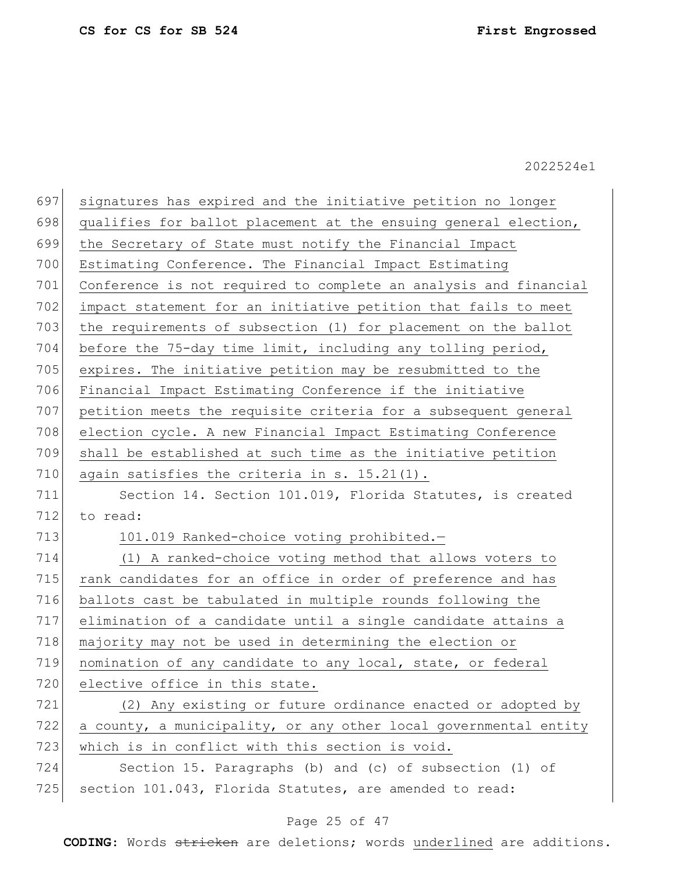| 697 | signatures has expired and the initiative petition no longer     |  |  |  |
|-----|------------------------------------------------------------------|--|--|--|
| 698 | qualifies for ballot placement at the ensuing general election,  |  |  |  |
| 699 | the Secretary of State must notify the Financial Impact          |  |  |  |
| 700 | Estimating Conference. The Financial Impact Estimating           |  |  |  |
| 701 | Conference is not required to complete an analysis and financial |  |  |  |
| 702 | impact statement for an initiative petition that fails to meet   |  |  |  |
| 703 | the requirements of subsection (1) for placement on the ballot   |  |  |  |
| 704 | before the 75-day time limit, including any tolling period,      |  |  |  |
| 705 | expires. The initiative petition may be resubmitted to the       |  |  |  |
| 706 | Financial Impact Estimating Conference if the initiative         |  |  |  |
| 707 | petition meets the requisite criteria for a subsequent general   |  |  |  |
| 708 | election cycle. A new Financial Impact Estimating Conference     |  |  |  |
| 709 | shall be established at such time as the initiative petition     |  |  |  |
| 710 | again satisfies the criteria in s. 15.21(1).                     |  |  |  |
| 711 | Section 14. Section 101.019, Florida Statutes, is created        |  |  |  |
| 712 | to read:                                                         |  |  |  |
| 713 | 101.019 Ranked-choice voting prohibited.-                        |  |  |  |
| 714 | (1) A ranked-choice voting method that allows voters to          |  |  |  |
| 715 | rank candidates for an office in order of preference and has     |  |  |  |
| 716 | ballots cast be tabulated in multiple rounds following the       |  |  |  |
| 717 | elimination of a candidate until a single candidate attains a    |  |  |  |
| 718 | majority may not be used in determining the election or          |  |  |  |
| 719 | nomination of any candidate to any local, state, or federal      |  |  |  |
| 720 | elective office in this state.                                   |  |  |  |
| 721 | (2) Any existing or future ordinance enacted or adopted by       |  |  |  |
| 722 | a county, a municipality, or any other local governmental entity |  |  |  |
| 723 | which is in conflict with this section is void.                  |  |  |  |
| 724 | Section 15. Paragraphs (b) and (c) of subsection (1) of          |  |  |  |
| 725 | section 101.043, Florida Statutes, are amended to read:          |  |  |  |

## Page 25 of 47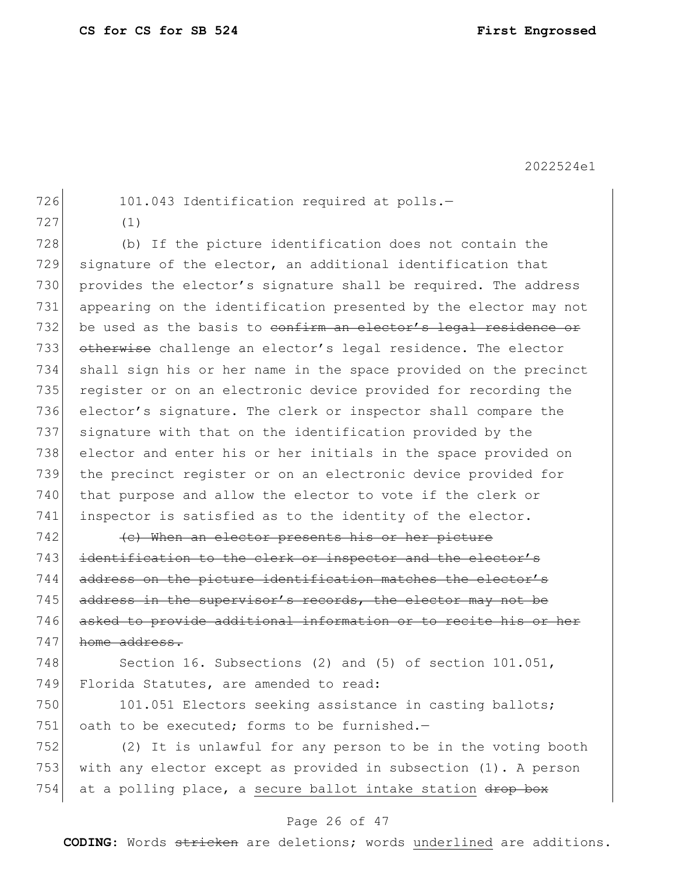726 101.043 Identification required at polls.-

727 (1)

728 (b) If the picture identification does not contain the 729 signature of the elector, an additional identification that 730 provides the elector's signature shall be required. The address 731 appearing on the identification presented by the elector may not 732 be used as the basis to confirm an elector's legal residence or 733 otherwise challenge an elector's legal residence. The elector 734 shall sign his or her name in the space provided on the precinct 735 register or on an electronic device provided for recording the 736 elector's signature. The clerk or inspector shall compare the 737 signature with that on the identification provided by the 738 elector and enter his or her initials in the space provided on 739 the precinct register or on an electronic device provided for 740 that purpose and allow the elector to vote if the clerk or 741 inspector is satisfied as to the identity of the elector.

 (c) When an elector presents his or her picture 743 identification to the clerk or inspector and the elector's address on the picture identification matches the elector's address in the supervisor's records, the elector may not be asked to provide additional information or to recite his or her 747 home address.

748 Section 16. Subsections (2) and (5) of section 101.051, 749 Florida Statutes, are amended to read:

750 101.051 Electors seeking assistance in casting ballots; 751 oath to be executed; forms to be furnished. $-$ 

752 (2) It is unlawful for any person to be in the voting booth 753 with any elector except as provided in subsection (1). A person 754 at a polling place, a secure ballot intake station  $\frac{d}{d}$ 

### Page 26 of 47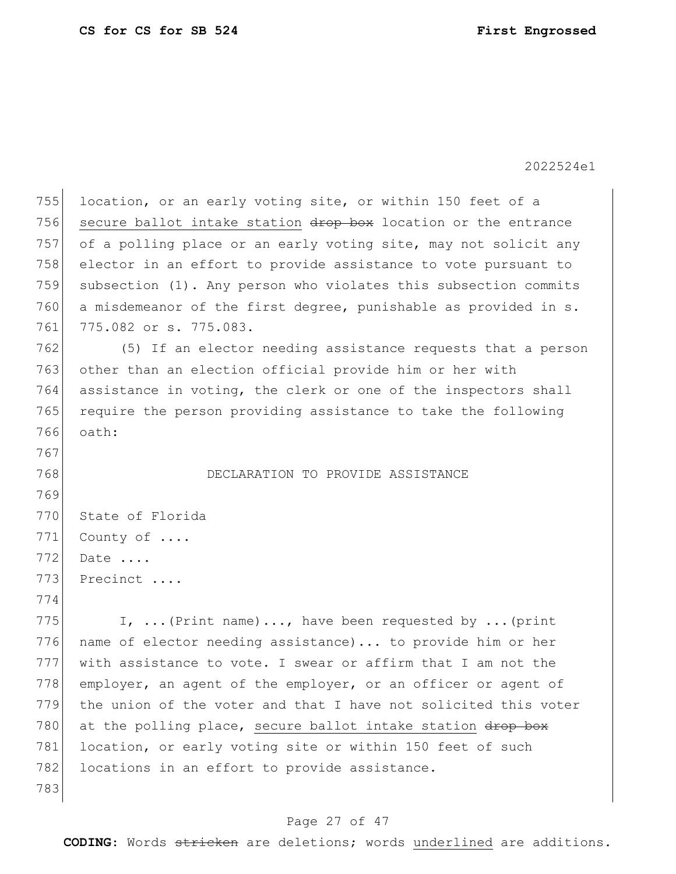| 755 | location, or an early voting site, or within 150 feet of a      |
|-----|-----------------------------------------------------------------|
| 756 | secure ballot intake station drop box location or the entrance  |
| 757 | of a polling place or an early voting site, may not solicit any |
| 758 | elector in an effort to provide assistance to vote pursuant to  |
| 759 | subsection (1). Any person who violates this subsection commits |
| 760 | a misdemeanor of the first degree, punishable as provided in s. |
| 761 | 775.082 or s. 775.083.                                          |
| 762 | (5) If an elector needing assistance requests that a person     |
| 763 | other than an election official provide him or her with         |
| 764 | assistance in voting, the clerk or one of the inspectors shall  |
| 765 | require the person providing assistance to take the following   |
| 766 | oath:                                                           |
| 767 |                                                                 |
| 768 | DECLARATION TO PROVIDE ASSISTANCE                               |
| 769 |                                                                 |
| 770 | State of Florida                                                |
| 771 | County of                                                       |
| 772 | Date                                                            |
| 773 | Precinct                                                        |
| 774 |                                                                 |
| 775 | I,  (Print name) , have been requested by  (print               |
| 776 | name of elector needing assistance) to provide him or her       |
| 777 | with assistance to vote. I swear or affirm that I am not the    |
| 778 | employer, an agent of the employer, or an officer or agent of   |
| 779 | the union of the voter and that I have not solicited this voter |
| 780 | at the polling place, secure ballot intake station drop box     |
| 781 | location, or early voting site or within 150 feet of such       |
| 782 | locations in an effort to provide assistance.                   |
| 783 |                                                                 |

## Page 27 of 47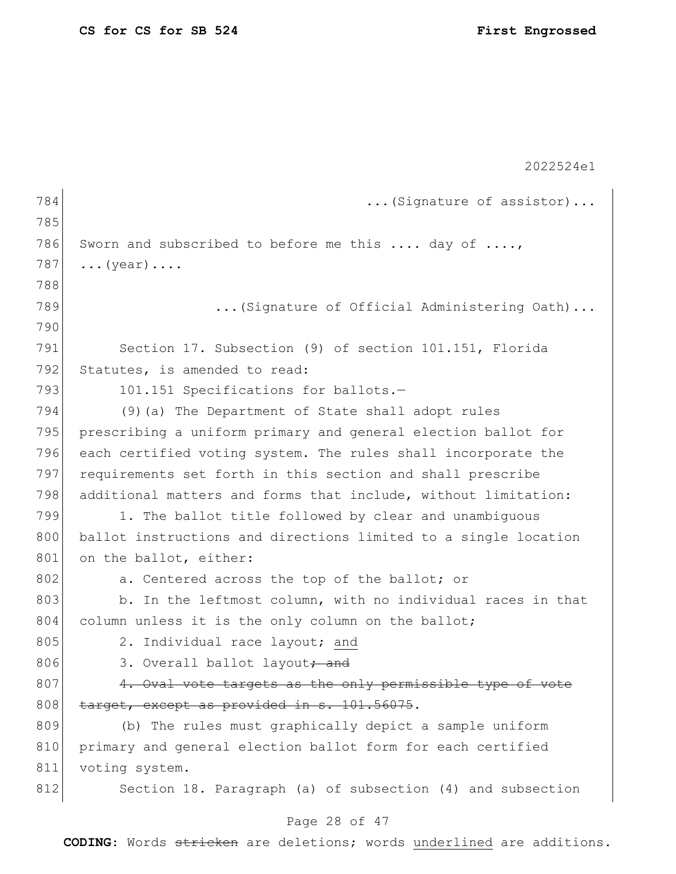|     | 2022524e1                                                       |  |  |  |
|-----|-----------------------------------------------------------------|--|--|--|
| 784 | (Signature of assistor)                                         |  |  |  |
| 785 |                                                                 |  |  |  |
| 786 | Sworn and subscribed to before me this  day of ,                |  |  |  |
| 787 | $\ldots$ (year) $\ldots$ .                                      |  |  |  |
| 788 |                                                                 |  |  |  |
| 789 | (Signature of Official Administering Oath)                      |  |  |  |
| 790 |                                                                 |  |  |  |
| 791 | Section 17. Subsection (9) of section 101.151, Florida          |  |  |  |
| 792 | Statutes, is amended to read:                                   |  |  |  |
| 793 | 101.151 Specifications for ballots.-                            |  |  |  |
| 794 | (9) (a) The Department of State shall adopt rules               |  |  |  |
| 795 | prescribing a uniform primary and general election ballot for   |  |  |  |
| 796 | each certified voting system. The rules shall incorporate the   |  |  |  |
| 797 | requirements set forth in this section and shall prescribe      |  |  |  |
| 798 | additional matters and forms that include, without limitation:  |  |  |  |
| 799 | 1. The ballot title followed by clear and unambiguous           |  |  |  |
| 800 | ballot instructions and directions limited to a single location |  |  |  |
| 801 | on the ballot, either:                                          |  |  |  |
| 802 | a. Centered across the top of the ballot; or                    |  |  |  |
| 803 | b. In the leftmost column, with no individual races in that     |  |  |  |
| 804 | column unless it is the only column on the ballot;              |  |  |  |
| 805 | 2. Individual race layout; and                                  |  |  |  |
| 806 | 3. Overall ballot layout <del>; and</del>                       |  |  |  |
| 807 | 4. Oval vote targets as the only permissible type of vote       |  |  |  |
| 808 | target, except as provided in s. 101.56075.                     |  |  |  |
| 809 | (b) The rules must graphically depict a sample uniform          |  |  |  |
| 810 | primary and general election ballot form for each certified     |  |  |  |
| 811 | voting system.                                                  |  |  |  |
| 812 | Section 18. Paragraph (a) of subsection (4) and subsection      |  |  |  |
|     | Page 28 of 47                                                   |  |  |  |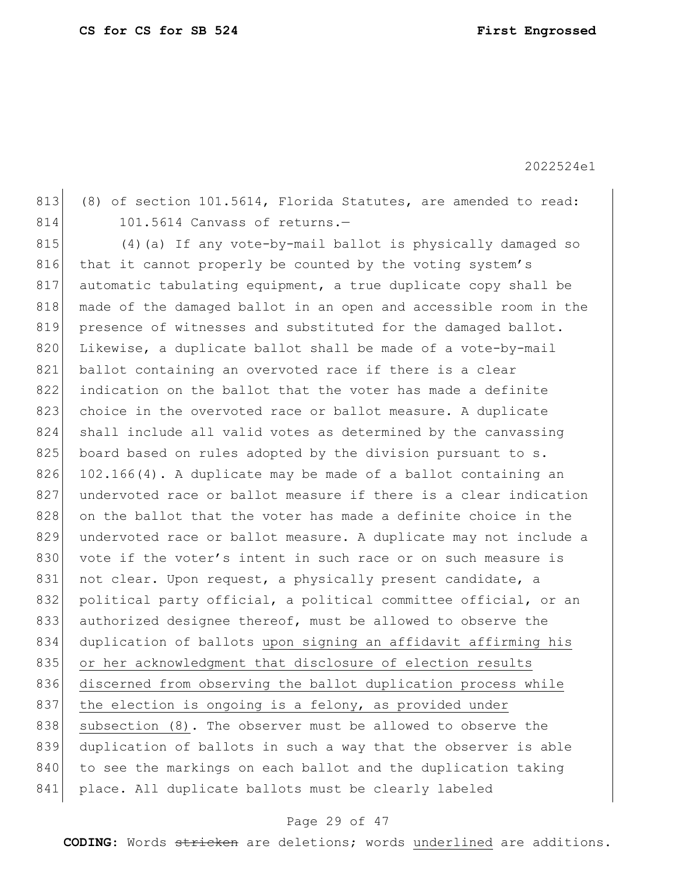813 (8) of section 101.5614, Florida Statutes, are amended to read: 814 101.5614 Canvass of returns.-

815 (4) (a) If any vote-by-mail ballot is physically damaged so 816 that it cannot properly be counted by the voting system's 817 automatic tabulating equipment, a true duplicate copy shall be 818 made of the damaged ballot in an open and accessible room in the 819 presence of witnesses and substituted for the damaged ballot. 820 Likewise, a duplicate ballot shall be made of a vote-by-mail 821 ballot containing an overvoted race if there is a clear 822 indication on the ballot that the voter has made a definite 823 choice in the overvoted race or ballot measure. A duplicate 824 shall include all valid votes as determined by the canvassing 825 board based on rules adopted by the division pursuant to s.  $826$  102.166(4). A duplicate may be made of a ballot containing an 827 undervoted race or ballot measure if there is a clear indication 828 on the ballot that the voter has made a definite choice in the 829 undervoted race or ballot measure. A duplicate may not include a 830 vote if the voter's intent in such race or on such measure is 831 not clear. Upon request, a physically present candidate, a 832 political party official, a political committee official, or an 833 authorized designee thereof, must be allowed to observe the 834 duplication of ballots upon signing an affidavit affirming his 835 or her acknowledgment that disclosure of election results 836 discerned from observing the ballot duplication process while 837 the election is ongoing is a felony, as provided under 838 subsection (8). The observer must be allowed to observe the 839 duplication of ballots in such a way that the observer is able 840 to see the markings on each ballot and the duplication taking 841 place. All duplicate ballots must be clearly labeled

### Page 29 of 47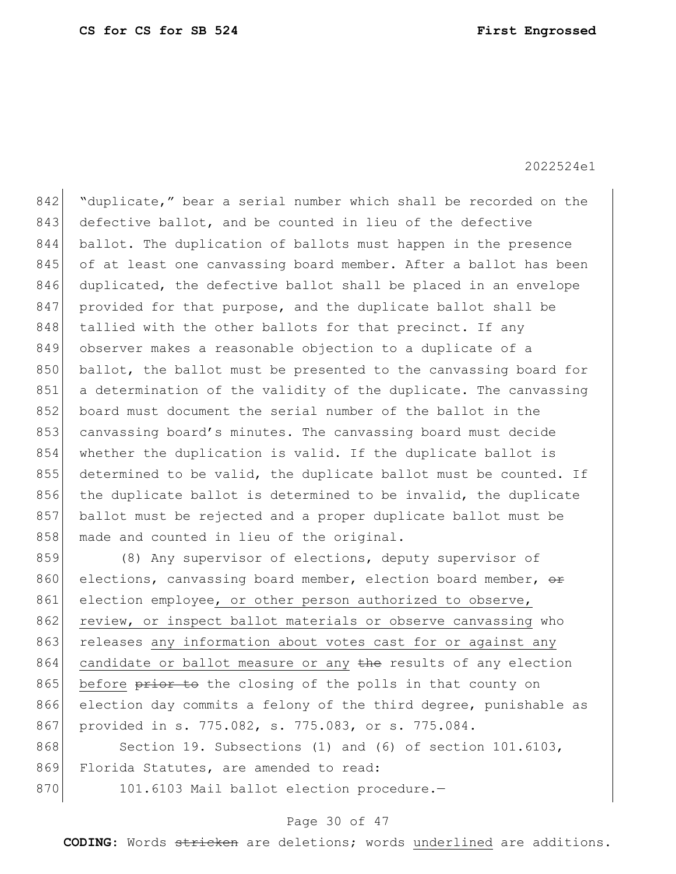842 "duplicate," bear a serial number which shall be recorded on the 843 defective ballot, and be counted in lieu of the defective 844 ballot. The duplication of ballots must happen in the presence 845 of at least one canvassing board member. After a ballot has been 846 duplicated, the defective ballot shall be placed in an envelope 847 provided for that purpose, and the duplicate ballot shall be 848 tallied with the other ballots for that precinct. If any 849 observer makes a reasonable objection to a duplicate of a 850 ballot, the ballot must be presented to the canvassing board for 851 a determination of the validity of the duplicate. The canvassing 852 board must document the serial number of the ballot in the 853 canvassing board's minutes. The canvassing board must decide 854 whether the duplication is valid. If the duplicate ballot is 855 determined to be valid, the duplicate ballot must be counted. If 856 the duplicate ballot is determined to be invalid, the duplicate 857 ballot must be rejected and a proper duplicate ballot must be 858 made and counted in lieu of the original.

859 (8) Any supervisor of elections, deputy supervisor of 860 elections, canvassing board member, election board member,  $\theta$ 861 election employee, or other person authorized to observe, 862 review, or inspect ballot materials or observe canvassing who 863 releases any information about votes cast for or against any 864 candidate or ballot measure or any the results of any election 865 before prior to the closing of the polls in that county on 866 election day commits a felony of the third degree, punishable as 867 provided in s. 775.082, s. 775.083, or s. 775.084.

868 Section 19. Subsections (1) and (6) of section 101.6103, 869 Florida Statutes, are amended to read:

870 101.6103 Mail ballot election procedure.-

#### Page 30 of 47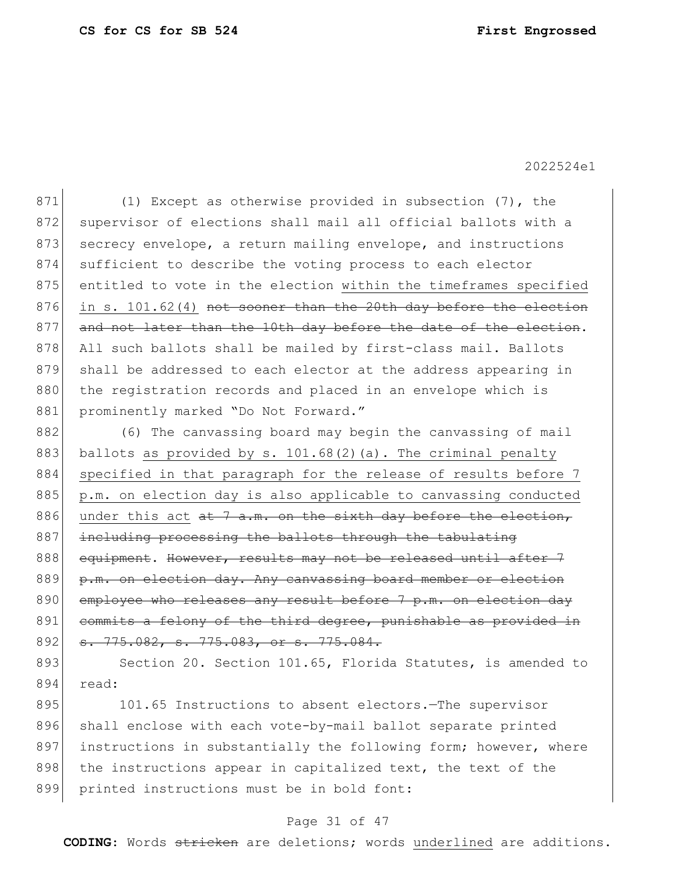871 (1) Except as otherwise provided in subsection (7), the 872 supervisor of elections shall mail all official ballots with a 873 secrecy envelope, a return mailing envelope, and instructions 874 sufficient to describe the voting process to each elector 875 entitled to vote in the election within the timeframes specified 876 in s. 101.62(4) not sooner than the 20th day before the election 877 and not later than the 10th day before the date of the election. 878 All such ballots shall be mailed by first-class mail. Ballots 879 shall be addressed to each elector at the address appearing in 880 the registration records and placed in an envelope which is 881 prominently marked "Do Not Forward."

882 (6) The canvassing board may begin the canvassing of mail 883 ballots as provided by s. 101.68(2)(a). The criminal penalty 884 specified in that paragraph for the release of results before 7 885 | p.m. on election day is also applicable to canvassing conducted 886 under this act  $a t$  7 a.m. on the sixth day before the election, 887 including processing the ballots through the tabulating 888 equipment. However, results may not be released until after 7 889 p.m. on election day. Any canvassing board member or election 890 employee who releases any result before 7 p.m. on election day 891 commits a felony of the third degree, punishable as provided in 892 s. 775.082, s. 775.083, or s. 775.084.

893 Section 20. Section 101.65, Florida Statutes, is amended to 894 read:

895 101.65 Instructions to absent electors. The supervisor 896 shall enclose with each vote-by-mail ballot separate printed 897 instructions in substantially the following form; however, where 898 the instructions appear in capitalized text, the text of the 899 printed instructions must be in bold font:

### Page 31 of 47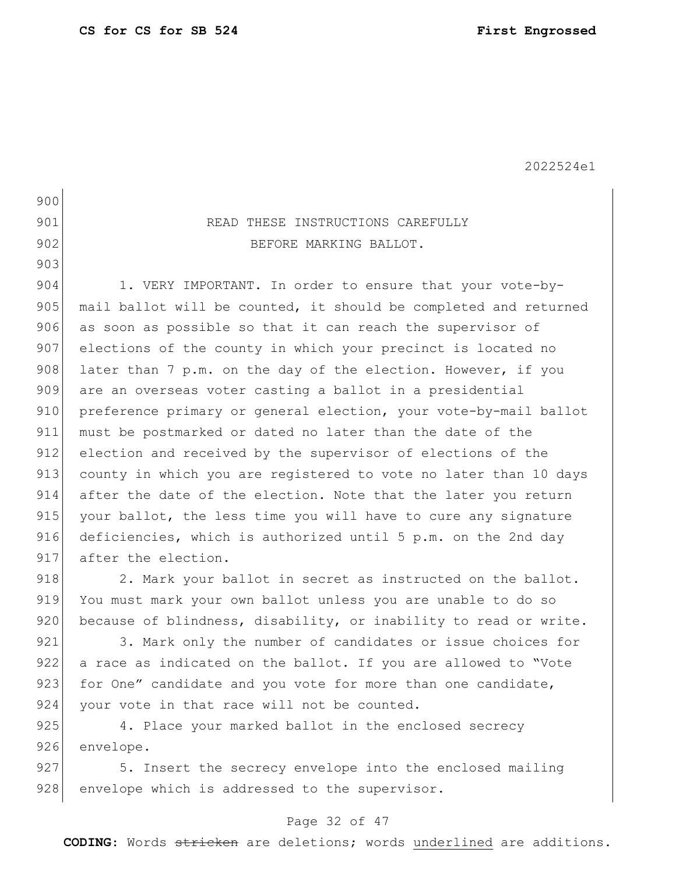# 900 901 READ THESE INSTRUCTIONS CAREFULLY 902 BEFORE MARKING BALLOT. 903 904 1. VERY IMPORTANT. In order to ensure that your vote-by-905 mail ballot will be counted, it should be completed and returned 906 as soon as possible so that it can reach the supervisor of 907 elections of the county in which your precinct is located no 908 later than 7 p.m. on the day of the election. However, if you 909 are an overseas voter casting a ballot in a presidential 910 preference primary or general election, your vote-by-mail ballot 911 must be postmarked or dated no later than the date of the 912 election and received by the supervisor of elections of the 913 county in which you are registered to vote no later than 10 days 914 after the date of the election. Note that the later you return 915 your ballot, the less time you will have to cure any signature 916 deficiencies, which is authorized until 5 p.m. on the 2nd day 917 after the election. 918 2. Mark your ballot in secret as instructed on the ballot.

919 You must mark your own ballot unless you are unable to do so 920 because of blindness, disability, or inability to read or write.

921 3. Mark only the number of candidates or issue choices for 922 a race as indicated on the ballot. If you are allowed to "Vote 923 for One" candidate and you vote for more than one candidate, 924 your vote in that race will not be counted.

925 4. Place your marked ballot in the enclosed secrecy 926 envelope.

927 5. Insert the secrecy envelope into the enclosed mailing 928 envelope which is addressed to the supervisor.

### Page 32 of 47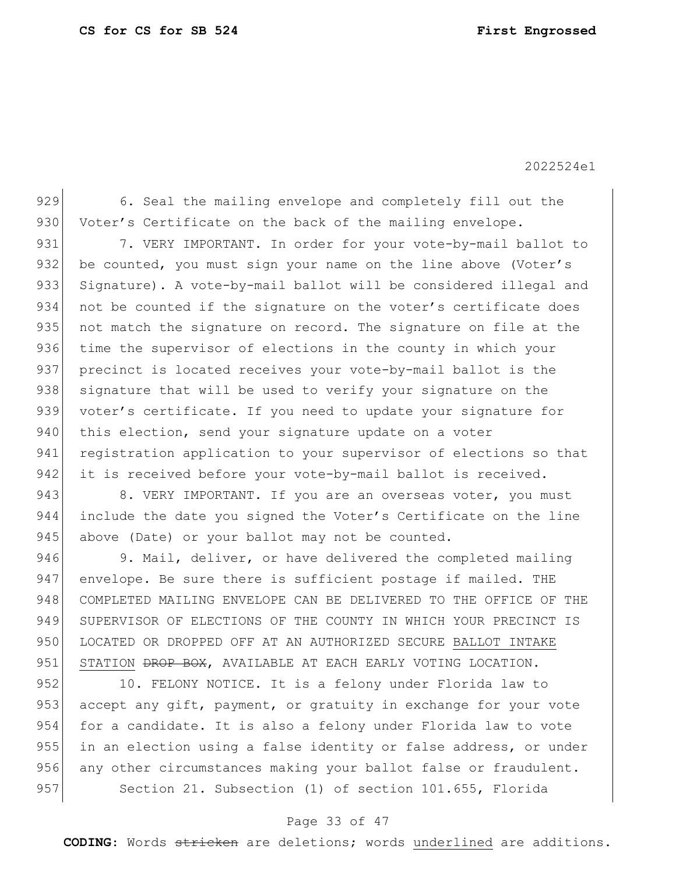929 6. Seal the mailing envelope and completely fill out the 930 Voter's Certificate on the back of the mailing envelope.

931 7. VERY IMPORTANT. In order for your vote-by-mail ballot to 932 be counted, you must sign your name on the line above (Voter's 933 Signature). A vote-by-mail ballot will be considered illegal and 934 not be counted if the signature on the voter's certificate does 935 not match the signature on record. The signature on file at the 936 time the supervisor of elections in the county in which your 937 precinct is located receives your vote-by-mail ballot is the 938 signature that will be used to verify your signature on the 939 voter's certificate. If you need to update your signature for 940 this election, send your signature update on a voter 941 registration application to your supervisor of elections so that 942 it is received before your vote-by-mail ballot is received.

943 8. VERY IMPORTANT. If you are an overseas voter, you must 944 include the date you signed the Voter's Certificate on the line 945 above (Date) or your ballot may not be counted.

946 9. Mail, deliver, or have delivered the completed mailing 947 envelope. Be sure there is sufficient postage if mailed. THE 948 COMPLETED MAILING ENVELOPE CAN BE DELIVERED TO THE OFFICE OF THE 949 SUPERVISOR OF ELECTIONS OF THE COUNTY IN WHICH YOUR PRECINCT IS 950 LOCATED OR DROPPED OFF AT AN AUTHORIZED SECURE BALLOT INTAKE 951 STATION <del>DROP BOX</del>, AVAILABLE AT EACH EARLY VOTING LOCATION.

952 10. FELONY NOTICE. It is a felony under Florida law to 953 accept any gift, payment, or gratuity in exchange for your vote 954 for a candidate. It is also a felony under Florida law to vote 955 in an election using a false identity or false address, or under 956 any other circumstances making your ballot false or fraudulent. 957 Section 21. Subsection (1) of section 101.655, Florida

### Page 33 of 47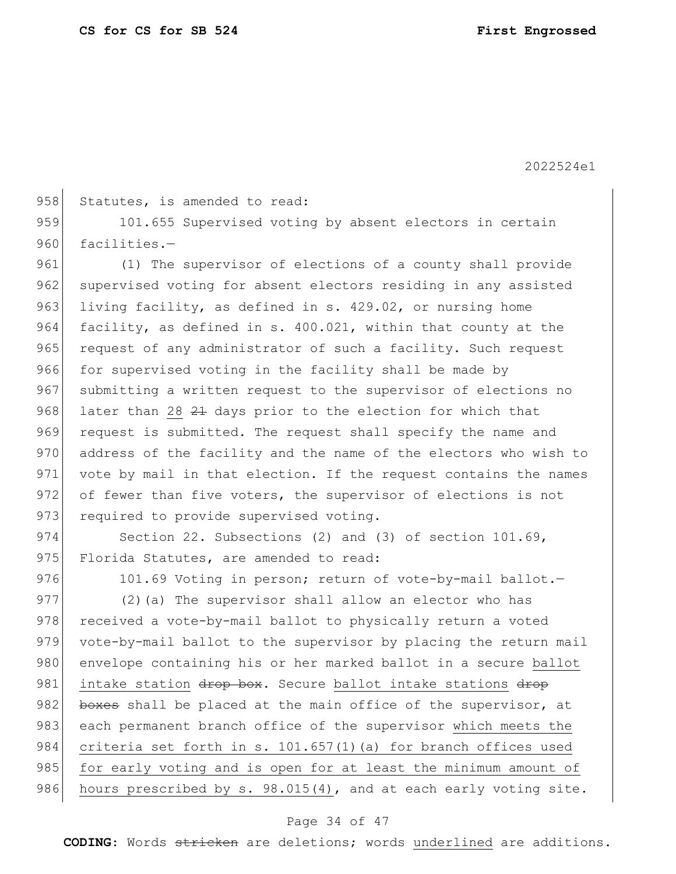958 Statutes, is amended to read:

959 101.655 Supervised voting by absent electors in certain 960 facilities.-

961 (1) The supervisor of elections of a county shall provide 962 supervised voting for absent electors residing in any assisted 963 living facility, as defined in s. 429.02, or nursing home 964 facility, as defined in s. 400.021, within that county at the 965 request of any administrator of such a facility. Such request 966 for supervised voting in the facility shall be made by 967 submitting a written request to the supervisor of elections no 968 later than 28 21 days prior to the election for which that 969 request is submitted. The request shall specify the name and 970 address of the facility and the name of the electors who wish to 971 vote by mail in that election. If the request contains the names 972 of fewer than five voters, the supervisor of elections is not 973 required to provide supervised voting.

974 Section 22. Subsections (2) and (3) of section 101.69, 975 Florida Statutes, are amended to read:

976 101.69 Voting in person; return of vote-by-mail ballot.

977 (2) (a) The supervisor shall allow an elector who has 978 received a vote-by-mail ballot to physically return a voted 979 vote-by-mail ballot to the supervisor by placing the return mail 980 envelope containing his or her marked ballot in a secure ballot 981 intake station drop box. Secure ballot intake stations drop 982 boxes shall be placed at the main office of the supervisor, at 983 each permanent branch office of the supervisor which meets the 984 criteria set forth in s. 101.657(1)(a) for branch offices used 985 for early voting and is open for at least the minimum amount of 986 hours prescribed by s. 98.015(4), and at each early voting site.

#### Page 34 of 47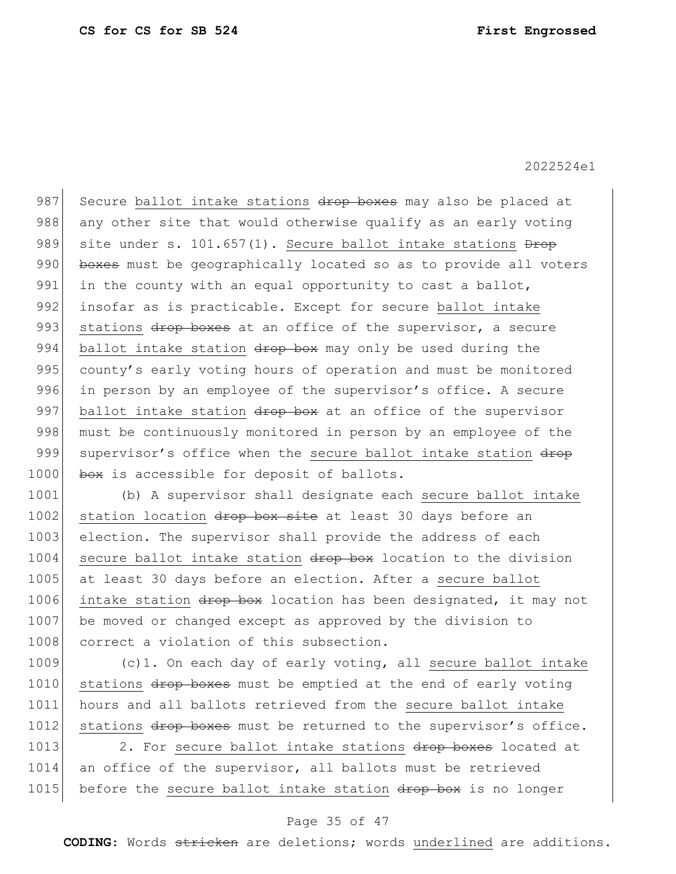987 Secure ballot intake stations drop boxes may also be placed at 988 any other site that would otherwise qualify as an early voting 989 site under s. 101.657(1). Secure ballot intake stations  $\frac{D}{D}$ 990 boxes must be geographically located so as to provide all voters 991 in the county with an equal opportunity to cast a ballot, 992 insofar as is practicable. Except for secure ballot intake 993 stations drop boxes at an office of the supervisor, a secure 994 ballot intake station drop box may only be used during the 995 county's early voting hours of operation and must be monitored 996 in person by an employee of the supervisor's office. A secure 997 ballot intake station  $\frac{d}{dx}$  at an office of the supervisor 998 must be continuously monitored in person by an employee of the 999 supervisor's office when the secure ballot intake station drop 1000 box is accessible for deposit of ballots.

1001 (b) A supervisor shall designate each secure ballot intake 1002 station location drop box site at least 30 days before an 1003 election. The supervisor shall provide the address of each 1004 secure ballot intake station drop box location to the division 1005 at least 30 days before an election. After a secure ballot 1006 intake station drop box location has been designated, it may not 1007 be moved or changed except as approved by the division to 1008 correct a violation of this subsection.

1009 (c)1. On each day of early voting, all secure ballot intake 1010 stations drop boxes must be emptied at the end of early voting 1011 hours and all ballots retrieved from the secure ballot intake 1012 stations drop boxes must be returned to the supervisor's office.

1013 2. For secure ballot intake stations drop boxes located at 1014 an office of the supervisor, all ballots must be retrieved 1015 before the secure ballot intake station drop box is no longer

#### Page 35 of 47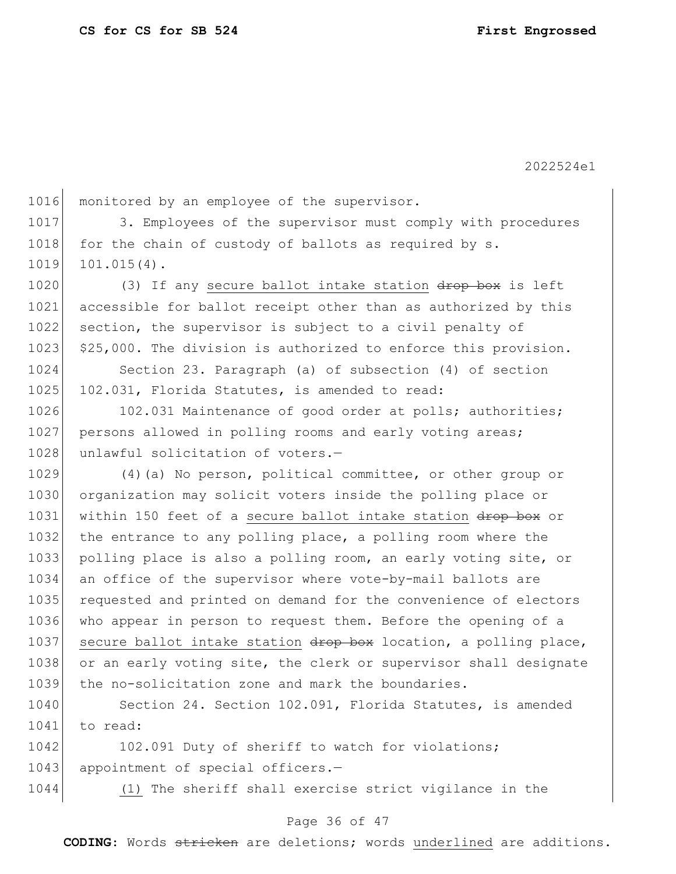1016 monitored by an employee of the supervisor. 1017 3. Employees of the supervisor must comply with procedures 1018 for the chain of custody of ballots as required by s. 1019 101.015(4). 1020 (3) If any secure ballot intake station drop box is left 1021 accessible for ballot receipt other than as authorized by this 1022 section, the supervisor is subject to a civil penalty of 1023 \$25,000. The division is authorized to enforce this provision. 1024 Section 23. Paragraph (a) of subsection (4) of section 1025 102.031, Florida Statutes, is amended to read: 1026 102.031 Maintenance of good order at polls; authorities; 1027 persons allowed in polling rooms and early voting areas; 1028 unlawful solicitation of voters.-1029 (4)(a) No person, political committee, or other group or 1030 organization may solicit voters inside the polling place or 1031 within 150 feet of a secure ballot intake station drop box or 1032 the entrance to any polling place, a polling room where the 1033 polling place is also a polling room, an early voting site, or 1034 an office of the supervisor where vote-by-mail ballots are 1035 requested and printed on demand for the convenience of electors 1036 who appear in person to request them. Before the opening of a 1037 secure ballot intake station drop box location, a polling place, 1038 or an early voting site, the clerk or supervisor shall designate 1039 the no-solicitation zone and mark the boundaries.

1040 Section 24. Section 102.091, Florida Statutes, is amended 1041 to read:

1042 102.091 Duty of sheriff to watch for violations; 1043 appointment of special officers.-

1044 (1) The sheriff shall exercise strict vigilance in the

#### Page 36 of 47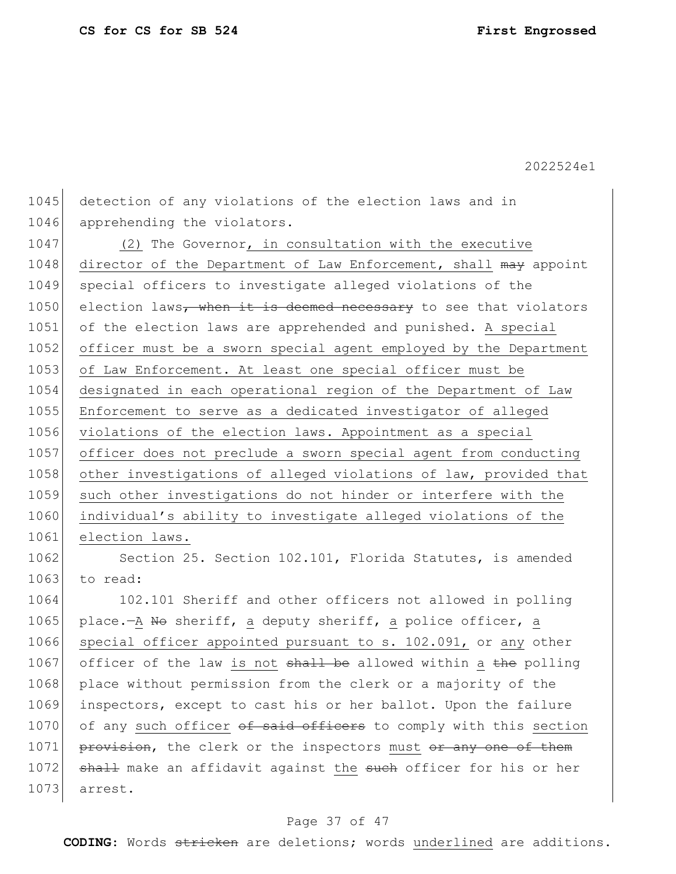1045 detection of any violations of the election laws and in 1046 apprehending the violators.

1047 (2) The Governor, in consultation with the executive 1048 director of the Department of Law Enforcement, shall may appoint 1049 special officers to investigate alleged violations of the  $1050$  election laws, when it is deemed necessary to see that violators 1051 of the election laws are apprehended and punished. A special 1052 officer must be a sworn special agent employed by the Department 1053 of Law Enforcement. At least one special officer must be 1054 designated in each operational region of the Department of Law 1055 Enforcement to serve as a dedicated investigator of alleged 1056 violations of the election laws. Appointment as a special 1057 officer does not preclude a sworn special agent from conducting 1058 other investigations of alleged violations of law, provided that 1059 such other investigations do not hinder or interfere with the 1060 individual's ability to investigate alleged violations of the 1061 election laws.

1062 Section 25. Section 102.101, Florida Statutes, is amended 1063 to read:

1064 102.101 Sheriff and other officers not allowed in polling 1065 place.—A No sheriff, a deputy sheriff, a police officer, a 1066 special officer appointed pursuant to s. 102.091, or any other 1067 officer of the law is not  $shall$  be allowed within a the polling 1068 place without permission from the clerk or a majority of the 1069 inspectors, except to cast his or her ballot. Upon the failure 1070 of any such officer of said officers to comply with this section 1071 provision, the clerk or the inspectors must or any one of them 1072 shall make an affidavit against the such officer for his or her 1073 arrest.

#### Page 37 of 47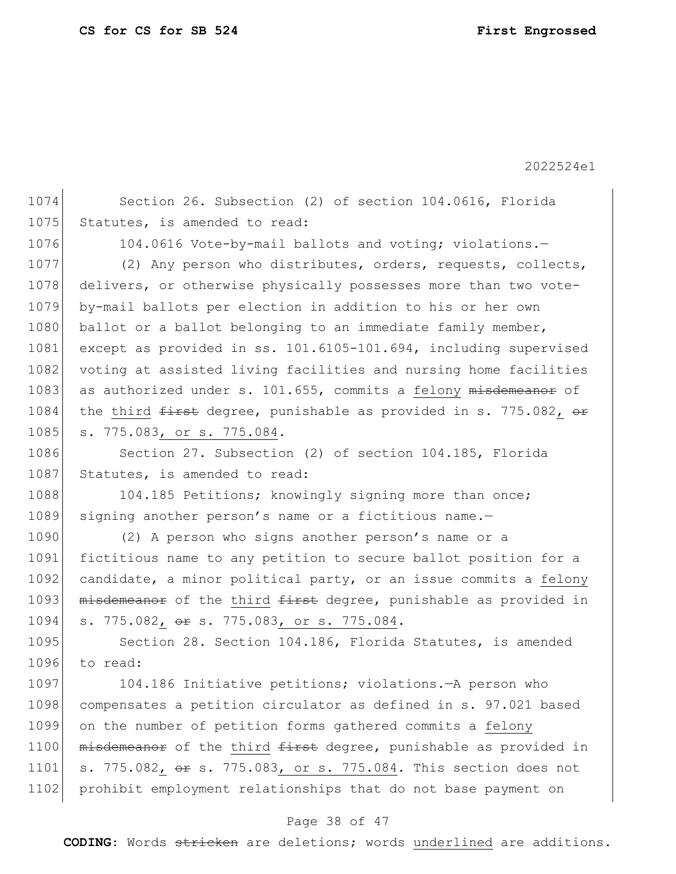1074 Section 26. Subsection (2) of section 104.0616, Florida 1075 Statutes, is amended to read: 1076 104.0616 Vote-by-mail ballots and voting; violations.-1077 (2) Any person who distributes, orders, requests, collects, 1078 delivers, or otherwise physically possesses more than two vote-1079 by-mail ballots per election in addition to his or her own 1080 ballot or a ballot belonging to an immediate family member, 1081 except as provided in ss. 101.6105-101.694, including supervised 1082 voting at assisted living facilities and nursing home facilities 1083 as authorized under s. 101.655, commits a felony misdemeanor of 1084 the third  $f$ irst degree, punishable as provided in s. 775.082, or 1085 s. 775.083, or s. 775.084. 1086 Section 27. Subsection (2) of section 104.185, Florida 1087 Statutes, is amended to read: 1088 104.185 Petitions; knowingly signing more than once; 1089 signing another person's name or a fictitious name.-1090 (2) A person who signs another person's name or a 1091 fictitious name to any petition to secure ballot position for a 1092 candidate, a minor political party, or an issue commits a felony 1093 misdemeanor of the third first degree, punishable as provided in 1094 s. 775.082, or s. 775.083, or s. 775.084. 1095 Section 28. Section 104.186, Florida Statutes, is amended 1096 to read: 1097 104.186 Initiative petitions; violations.—A person who 1098 compensates a petition circulator as defined in s. 97.021 based 1099 on the number of petition forms gathered commits a felony 1100 misdemeanor of the third first degree, punishable as provided in 1101 s. 775.082, or s. 775.083, or s. 775.084. This section does not 1102 prohibit employment relationships that do not base payment on

### Page 38 of 47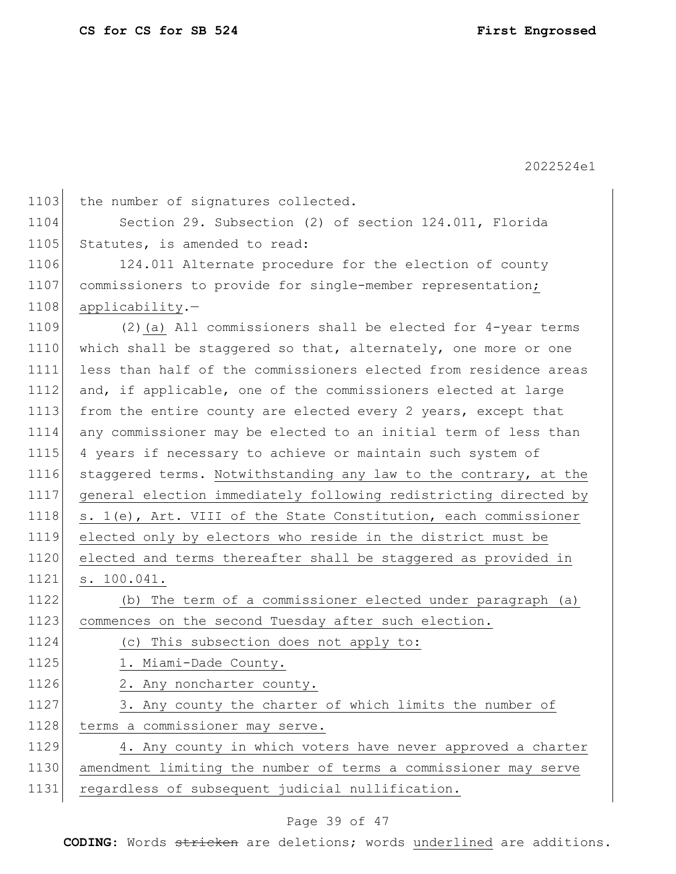| 1103 | the number of signatures collected.                              |  |  |  |
|------|------------------------------------------------------------------|--|--|--|
| 1104 | Section 29. Subsection (2) of section 124.011, Florida           |  |  |  |
| 1105 | Statutes, is amended to read:                                    |  |  |  |
| 1106 | 124.011 Alternate procedure for the election of county           |  |  |  |
| 1107 | commissioners to provide for single-member representation;       |  |  |  |
| 1108 | applicability.-                                                  |  |  |  |
| 1109 | $(2)$ (a) All commissioners shall be elected for 4-year terms    |  |  |  |
| 1110 | which shall be staggered so that, alternately, one more or one   |  |  |  |
| 1111 | less than half of the commissioners elected from residence areas |  |  |  |
| 1112 | and, if applicable, one of the commissioners elected at large    |  |  |  |
| 1113 | from the entire county are elected every 2 years, except that    |  |  |  |
| 1114 | any commissioner may be elected to an initial term of less than  |  |  |  |
| 1115 | 4 years if necessary to achieve or maintain such system of       |  |  |  |
| 1116 | staggered terms. Notwithstanding any law to the contrary, at the |  |  |  |
| 1117 | general election immediately following redistricting directed by |  |  |  |
| 1118 | s. 1(e), Art. VIII of the State Constitution, each commissioner  |  |  |  |
| 1119 | elected only by electors who reside in the district must be      |  |  |  |
| 1120 | elected and terms thereafter shall be staggered as provided in   |  |  |  |
| 1121 | s. 100.041.                                                      |  |  |  |
| 1122 | (b) The term of a commissioner elected under paragraph (a)       |  |  |  |
| 1123 | commences on the second Tuesday after such election.             |  |  |  |
| 1124 | (c) This subsection does not apply to:                           |  |  |  |
| 1125 | 1. Miami-Dade County.                                            |  |  |  |
| 1126 | 2. Any noncharter county.                                        |  |  |  |
| 1127 | 3. Any county the charter of which limits the number of          |  |  |  |
| 1128 | terms a commissioner may serve.                                  |  |  |  |
| 1129 | 4. Any county in which voters have never approved a charter      |  |  |  |
| 1130 | amendment limiting the number of terms a commissioner may serve  |  |  |  |
| 1131 | regardless of subsequent judicial nullification.                 |  |  |  |
|      |                                                                  |  |  |  |

## Page 39 of 47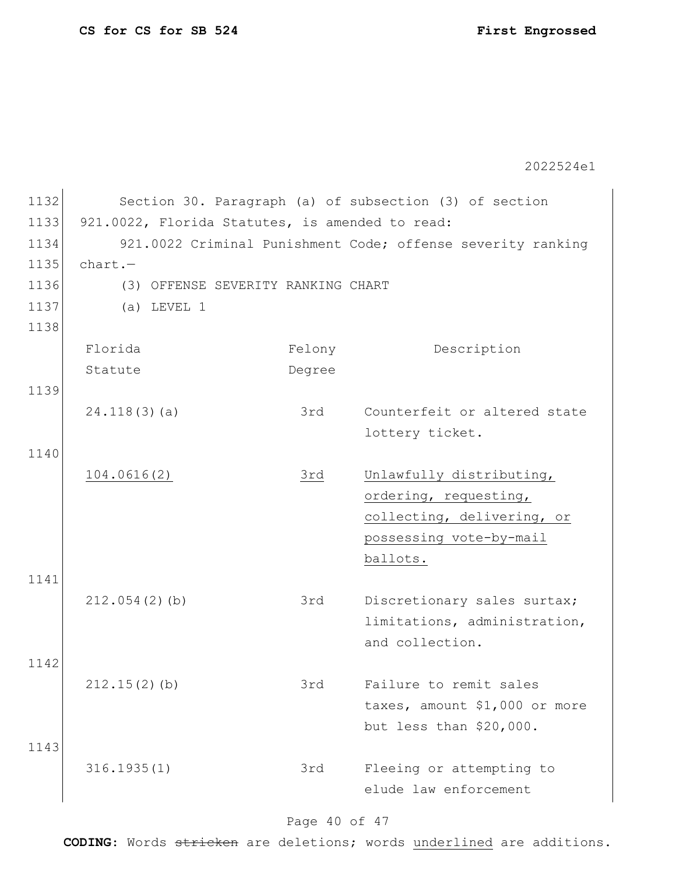| 1132 |                                                             |        | Section 30. Paragraph (a) of subsection (3) of section |
|------|-------------------------------------------------------------|--------|--------------------------------------------------------|
| 1133 | 921.0022, Florida Statutes, is amended to read:             |        |                                                        |
| 1134 | 921.0022 Criminal Punishment Code; offense severity ranking |        |                                                        |
| 1135 | $chart. -$                                                  |        |                                                        |
| 1136 | (3) OFFENSE SEVERITY RANKING CHART                          |        |                                                        |
| 1137 | $(a)$ LEVEL 1                                               |        |                                                        |
| 1138 |                                                             |        |                                                        |
|      | Florida                                                     | Felony | Description                                            |
|      | Statute                                                     | Degree |                                                        |
| 1139 |                                                             |        |                                                        |
|      | 24.118(3)(a)                                                | 3rd    | Counterfeit or altered state                           |
|      |                                                             |        | lottery ticket.                                        |
| 1140 |                                                             |        |                                                        |
|      | 104.0616(2)                                                 | 3rd    | Unlawfully distributing,                               |
|      |                                                             |        | ordering, requesting,                                  |
|      |                                                             |        | collecting, delivering, or                             |
|      |                                                             |        | possessing vote-by-mail                                |
|      |                                                             |        | ballots.                                               |
| 1141 |                                                             |        |                                                        |
|      | 212.054(2)(b)                                               | 3rd    | Discretionary sales surtax;                            |
|      |                                                             |        | limitations, administration,                           |
| 1142 |                                                             |        | and collection.                                        |
|      | 212.15(2)(b)                                                | 3rd    | Failure to remit sales                                 |
|      |                                                             |        | taxes, amount \$1,000 or more                          |
|      |                                                             |        | but less than \$20,000.                                |
| 1143 |                                                             |        |                                                        |
|      | 316.1935(1)                                                 | 3rd    | Fleeing or attempting to                               |
|      |                                                             |        | elude law enforcement                                  |
|      |                                                             |        |                                                        |

## Page 40 of 47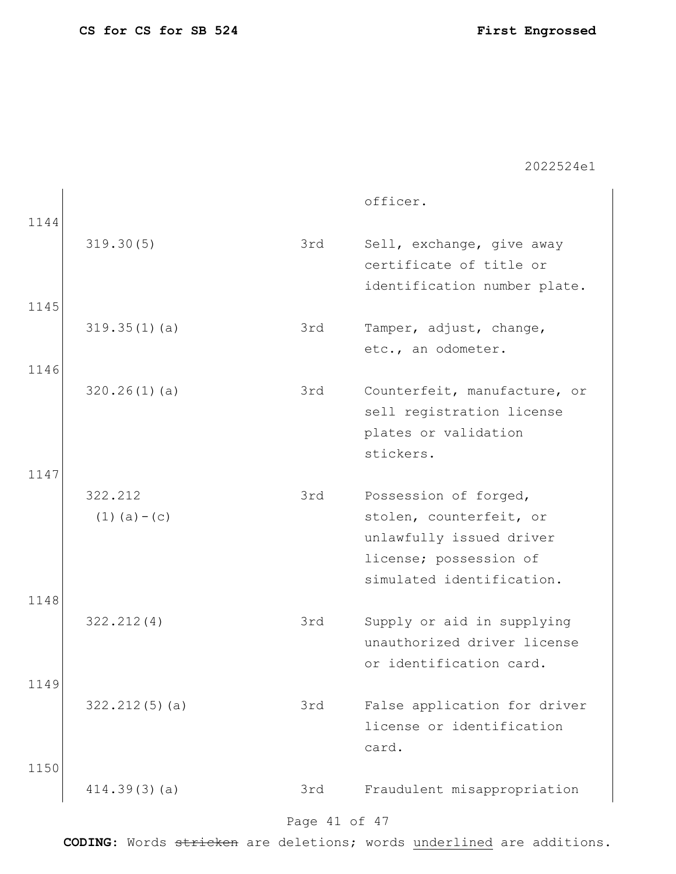| 1144         |                              |     | officer.                                                                                                                            |
|--------------|------------------------------|-----|-------------------------------------------------------------------------------------------------------------------------------------|
|              | 319.30(5)                    | 3rd | Sell, exchange, give away<br>certificate of title or<br>identification number plate.                                                |
| 1145         | 319.35(1)(a)                 | 3rd | Tamper, adjust, change,<br>etc., an odometer.                                                                                       |
| 1146         | 320.26(1)(a)                 | 3rd | Counterfeit, manufacture, or<br>sell registration license<br>plates or validation<br>stickers.                                      |
| 1147<br>1148 | 322.212<br>$(1)$ $(a) - (c)$ | 3rd | Possession of forged,<br>stolen, counterfeit, or<br>unlawfully issued driver<br>license; possession of<br>simulated identification. |
|              | 322.212(4)                   | 3rd | Supply or aid in supplying<br>unauthorized driver license<br>or identification card.                                                |
| 1149         | 322.212(5)(a)                | 3rd | False application for driver<br>license or identification<br>card.                                                                  |
| 1150         | 414.39(3)(a)                 | 3rd | Fraudulent misappropriation                                                                                                         |

## Page 41 of 47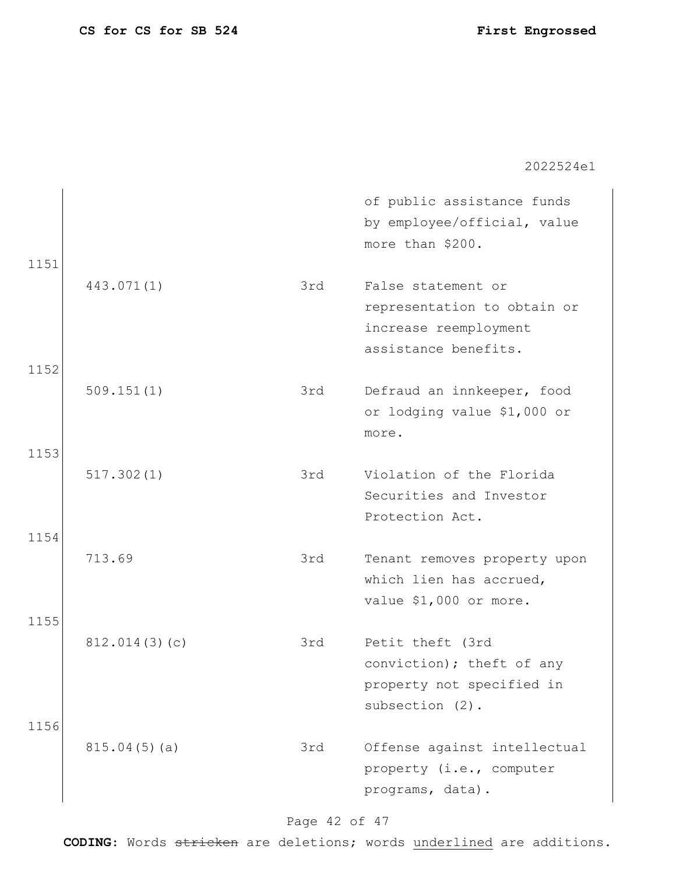| 1151         |               |     | of public assistance funds<br>by employee/official, value<br>more than \$200.                      |
|--------------|---------------|-----|----------------------------------------------------------------------------------------------------|
|              | 443.071(1)    | 3rd | False statement or<br>representation to obtain or<br>increase reemployment<br>assistance benefits. |
| 1152         | 509.151(1)    | 3rd | Defraud an innkeeper, food<br>or lodging value \$1,000 or<br>more.                                 |
| 1153<br>1154 | 517.302(1)    | 3rd | Violation of the Florida<br>Securities and Investor<br>Protection Act.                             |
| 1155         | 713.69        | 3rd | Tenant removes property upon<br>which lien has accrued,<br>value \$1,000 or more.                  |
| 1156         | 812.014(3)(c) | 3rd | Petit theft (3rd<br>conviction); theft of any<br>property not specified in<br>subsection (2).      |
|              | 815.04(5)(a)  | 3rd | Offense against intellectual<br>property (i.e., computer<br>programs, data).                       |

## Page 42 of 47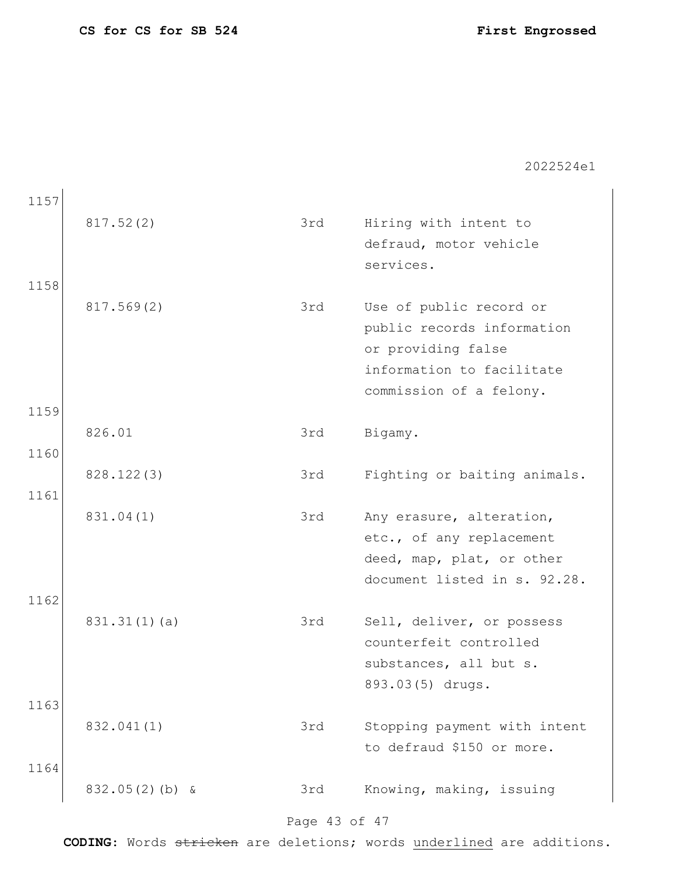| 1157 |                   |     |                              |
|------|-------------------|-----|------------------------------|
|      | 817.52(2)         | 3rd | Hiring with intent to        |
|      |                   |     | defraud, motor vehicle       |
|      |                   |     | services.                    |
| 1158 |                   |     |                              |
|      | 817.569(2)        | 3rd | Use of public record or      |
|      |                   |     | public records information   |
|      |                   |     | or providing false           |
|      |                   |     | information to facilitate    |
|      |                   |     | commission of a felony.      |
| 1159 | 826.01            | 3rd | Bigamy.                      |
| 1160 |                   |     |                              |
|      | 828.122(3)        | 3rd | Fighting or baiting animals. |
| 1161 |                   |     |                              |
|      | 831.04(1)         | 3rd | Any erasure, alteration,     |
|      |                   |     | etc., of any replacement     |
|      |                   |     | deed, map, plat, or other    |
|      |                   |     | document listed in s. 92.28. |
| 1162 |                   |     |                              |
|      | 831.31(1)(a)      | 3rd | Sell, deliver, or possess    |
|      |                   |     | counterfeit controlled       |
|      |                   |     | substances, all but s.       |
|      |                   |     | 893.03(5) drugs.             |
| 1163 |                   |     |                              |
|      | 832.041(1)        | 3rd | Stopping payment with intent |
|      |                   |     | to defraud \$150 or more.    |
| 1164 |                   |     |                              |
|      | $832.05(2)$ (b) & | 3rd | Knowing, making, issuing     |

## Page 43 of 47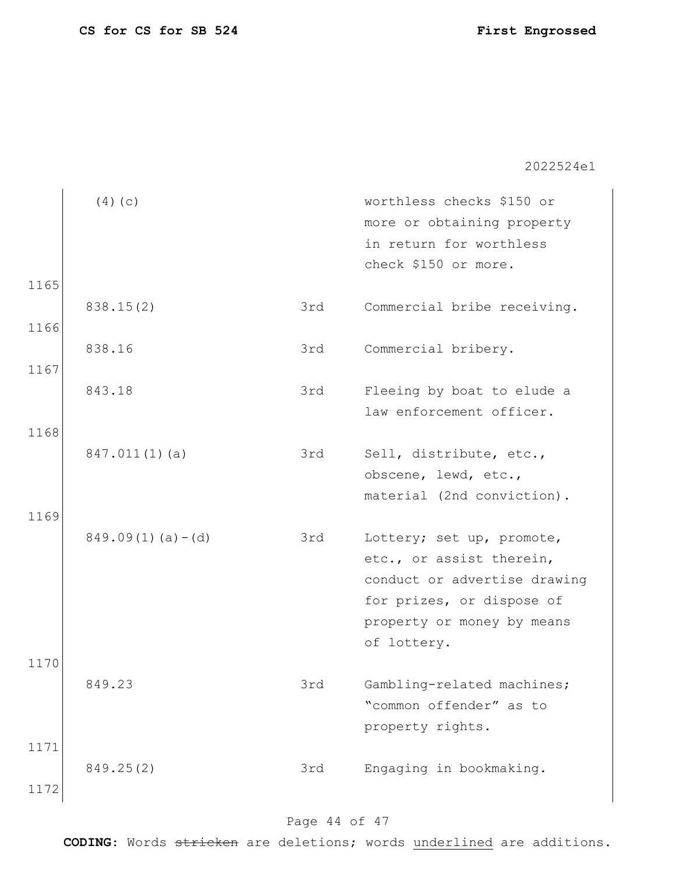| 1165         | (4)(c)                |     | worthless checks \$150 or<br>more or obtaining property<br>in return for worthless<br>check \$150 or more.                                                      |
|--------------|-----------------------|-----|-----------------------------------------------------------------------------------------------------------------------------------------------------------------|
| 1166         | 838.15(2)             | 3rd | Commercial bribe receiving.                                                                                                                                     |
|              | 838.16                | 3rd | Commercial bribery.                                                                                                                                             |
| 1167         | 843.18                | 3rd | Fleeing by boat to elude a<br>law enforcement officer.                                                                                                          |
| 1168         | $847.011(1)$ (a)      | 3rd | Sell, distribute, etc.,<br>obscene, lewd, etc.,<br>material (2nd conviction).                                                                                   |
| 1169         | $849.09(1)$ (a) – (d) | 3rd | Lottery; set up, promote,<br>etc., or assist therein,<br>conduct or advertise drawing<br>for prizes, or dispose of<br>property or money by means<br>of lottery. |
| 1170         | 849.23                | 3rd | Gambling-related machines;<br>"common offender" as to<br>property rights.                                                                                       |
| 1171<br>1172 | 849.25(2)             | 3rd | Engaging in bookmaking.                                                                                                                                         |

## Page 44 of 47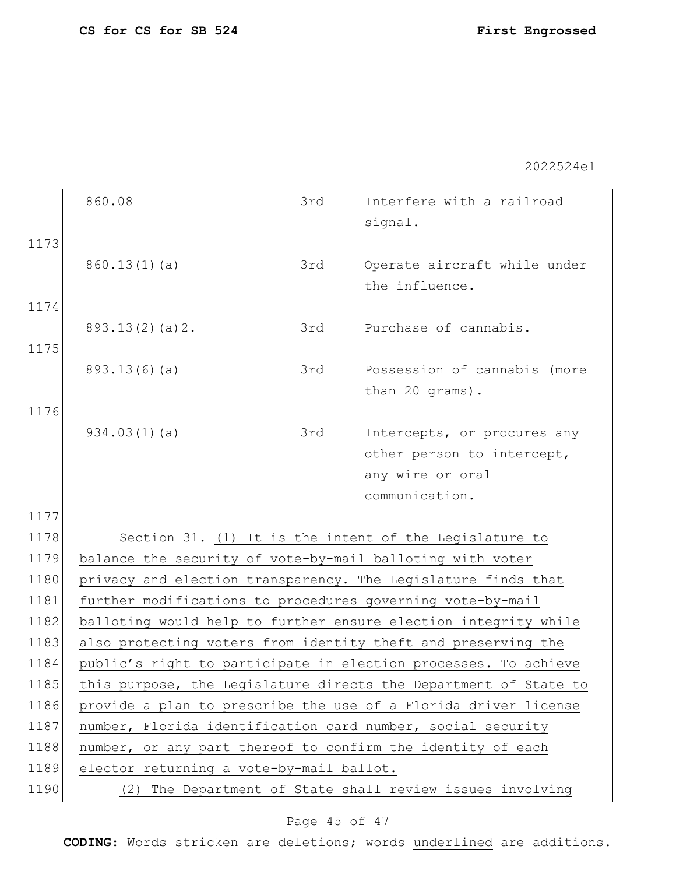|      | 860.08                                                           | 3rd                                      | Interfere with a railroad<br>signal.                          |  |
|------|------------------------------------------------------------------|------------------------------------------|---------------------------------------------------------------|--|
| 1173 | 860.13(1)(a)                                                     | 3rd                                      | Operate aircraft while under<br>the influence.                |  |
| 1174 | 893.13(2)(a)2.                                                   | 3rd                                      | Purchase of cannabis.                                         |  |
| 1175 | 893.13(6)(a)                                                     | 3rd                                      | Possession of cannabis (more<br>than 20 grams).               |  |
| 1176 | 934.03(1)(a)                                                     | 3rd                                      | Intercepts, or procures any                                   |  |
|      |                                                                  |                                          | other person to intercept,                                    |  |
|      |                                                                  |                                          | any wire or oral<br>communication.                            |  |
| 1177 |                                                                  |                                          |                                                               |  |
| 1178 |                                                                  |                                          | Section 31. (1) It is the intent of the Legislature to        |  |
| 1179 | balance the security of vote-by-mail balloting with voter        |                                          |                                                               |  |
| 1180 |                                                                  |                                          | privacy and election transparency. The Legislature finds that |  |
| 1181 | further modifications to procedures governing vote-by-mail       |                                          |                                                               |  |
| 1182 | balloting would help to further ensure election integrity while  |                                          |                                                               |  |
| 1183 | also protecting voters from identity theft and preserving the    |                                          |                                                               |  |
| 1184 | public's right to participate in election processes. To achieve  |                                          |                                                               |  |
| 1185 | this purpose, the Legislature directs the Department of State to |                                          |                                                               |  |
| 1186 | provide a plan to prescribe the use of a Florida driver license  |                                          |                                                               |  |
| 1187 | number, Florida identification card number, social security      |                                          |                                                               |  |
| 1188 | number, or any part thereof to confirm the identity of each      |                                          |                                                               |  |
| 1189 |                                                                  | elector returning a vote-by-mail ballot. |                                                               |  |
| 1190 | (2)                                                              |                                          | The Department of State shall review issues involving         |  |

## Page 45 of 47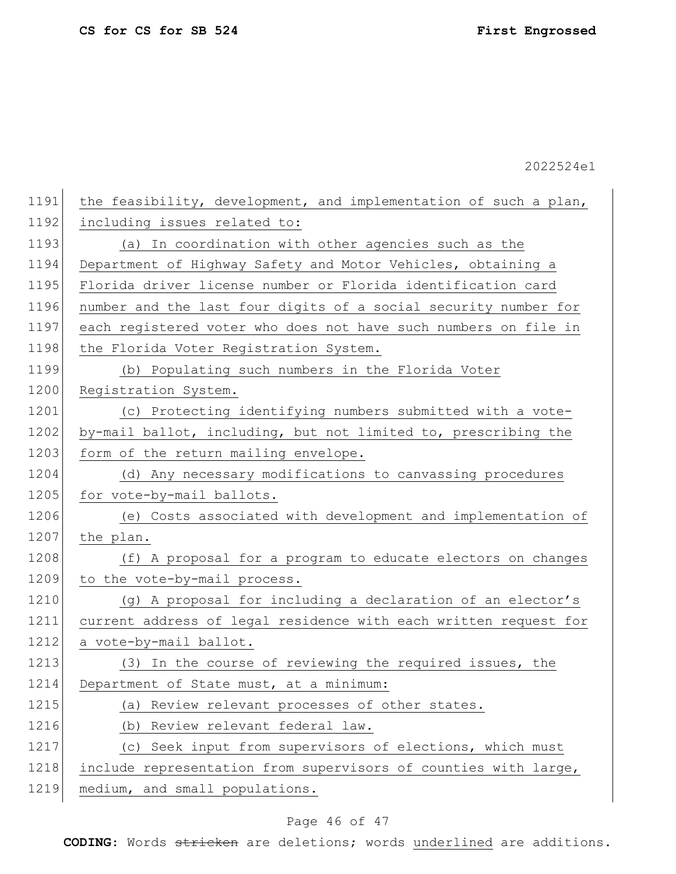1191 the feasibility, development, and implementation of such a plan, 1192 including issues related to: 1193 (a) In coordination with other agencies such as the 1194 Department of Highway Safety and Motor Vehicles, obtaining a 1195 Florida driver license number or Florida identification card 1196 number and the last four digits of a social security number for 1197 each registered voter who does not have such numbers on file in 1198 the Florida Voter Registration System. 1199 (b) Populating such numbers in the Florida Voter 1200 Registration System. 1201 (c) Protecting identifying numbers submitted with a vote-1202 by-mail ballot, including, but not limited to, prescribing the 1203 form of the return mailing envelope. 1204 (d) Any necessary modifications to canvassing procedures 1205 for vote-by-mail ballots. 1206 (e) Costs associated with development and implementation of 1207 the plan. 1208 (f) A proposal for a program to educate electors on changes 1209 to the vote-by-mail process. 1210 (g) A proposal for including a declaration of an elector's 1211 current address of legal residence with each written request for 1212 a vote-by-mail ballot. 1213 (3) In the course of reviewing the required issues, the 1214 Department of State must, at a minimum: 1215 (a) Review relevant processes of other states. 1216 (b) Review relevant federal law. 1217 (c) Seek input from supervisors of elections, which must 1218 include representation from supervisors of counties with large, 1219 medium, and small populations.

### Page 46 of 47